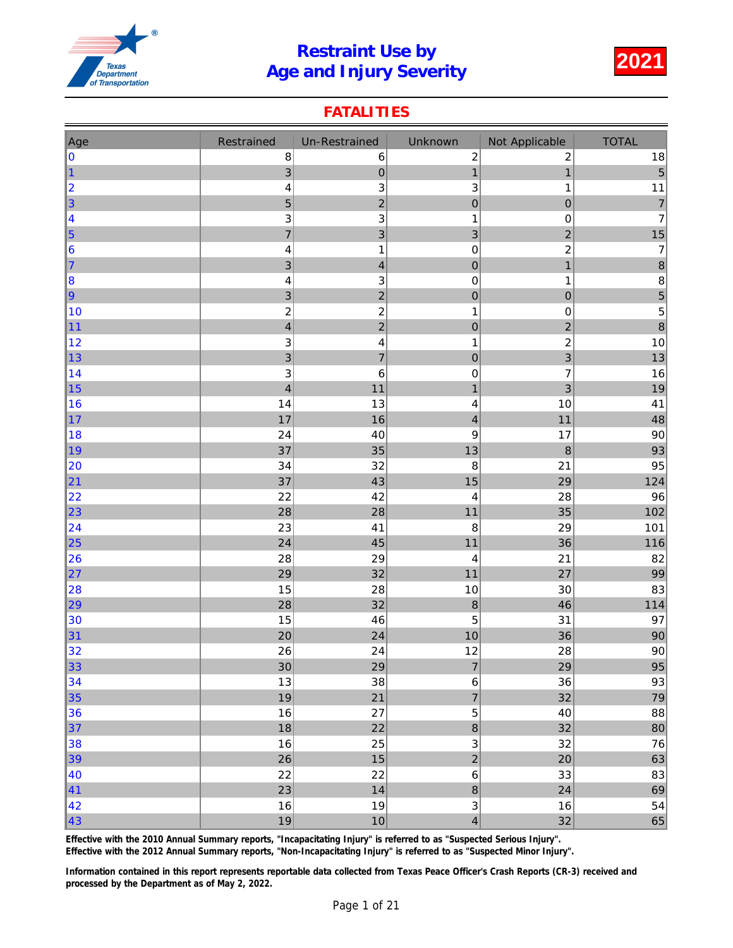

### **FATALITIES**

| Age            | Restrained               | Un-Restrained  | Unknown                   | Not Applicable          | <b>TOTAL</b>   |
|----------------|--------------------------|----------------|---------------------------|-------------------------|----------------|
| 0              | $\bf8$                   | 6              | $\boldsymbol{2}$          | $\boldsymbol{2}$        | 18             |
| $\vert$ 1      | 3                        | $\mathbf 0$    | $\mathbf{1}$              | $\mathbf{1}$            | $\overline{5}$ |
| 2              | 4                        | 3              | 3                         | 1                       | 11             |
| $\vert$ 3      | 5                        | $\overline{c}$ | $\mathbf 0$               | $\pmb{0}$               | $\overline{7}$ |
| 4              | 3                        | 3              | 1                         | $\pmb{0}$               | 7              |
| $\vert$ 5      | $\overline{7}$           | 3              | 3                         | $\overline{c}$          | 15             |
| 6              | 4                        | 1              | $\boldsymbol{0}$          | $\overline{\mathbf{c}}$ | $\overline{7}$ |
| 17             | 3                        | $\overline{4}$ | $\mathbf 0$               | $\mathbf{1}$            | 8              |
| 8              | 4                        | 3              | $\pmb{0}$                 | 1                       | $\bf8$         |
| 9              | 3                        | $\overline{a}$ | $\boldsymbol{0}$          | $\mathbf 0$             | 5              |
| 10             | $\overline{c}$           | $\overline{c}$ | 1                         | $\pmb{0}$               | 5              |
| 11             | $\overline{\mathcal{L}}$ | $\overline{c}$ | $\pmb{0}$                 | $\overline{\mathbf{c}}$ | $\overline{8}$ |
| 12             | 3                        | 4              | 1                         | $\overline{c}$          | 10             |
| 13             | 3                        | $\overline{7}$ | $\pmb{0}$                 | 3                       | 13             |
| 14             | 3                        | 6              | 0                         | $\overline{7}$          | 16             |
| 15             | $\overline{\mathbf{4}}$  | 11             | $\mathbf{1}$              | 3                       | 19             |
| 16             | 14                       | 13             | 4                         | 10                      | 41             |
| 17             | 17                       | 16             | 4                         | 11                      | 48             |
| 18             | 24                       | 40             | 9                         | 17                      | $90\,$         |
| ∥19            | 37                       | 35             | 13                        | $\,$ 8 $\,$             | 93             |
| 20             | 34                       | 32             | 8                         | 21                      | 95             |
| 21             | 37                       | 43             | 15                        | 29                      | 124            |
| 22             | 22                       | 42             | 4                         | 28                      | 96             |
| 23             | 28                       | 28             | 11                        | 35                      | 102            |
| 24             | 23                       | 41             | 8                         | 29                      | 101            |
| 25             | 24                       | 45             | 11                        | 36                      | 116            |
| 26             | 28                       | 29             | 4                         | 21                      | 82             |
| 27             | 29                       | 32             | 11                        | 27                      | 99             |
| 28             | 15                       | 28             | $10$                      | 30                      | 83             |
| 29             | 28                       | 32             | 8                         | 46                      | 114            |
| 30             | 15                       | 46             | 5                         | 31                      | 97             |
| 31             | 20                       | 24             | $10$                      | 36                      | $90\,$         |
| 32             | 26                       | 24             | 12                        | 28                      | 90             |
| $\vert$ 33     | 30                       | 29             | $\boldsymbol{7}$          | 29                      | 95             |
| 34             | 13                       | 38             | $\,6$                     | 36                      | 93             |
| $\vert$ 35     | 19                       | 21             | $\overline{7}$            | 32                      | 79             |
| 36             | 16                       | 27             | 5                         | 40                      | 88             |
| 37             | 18                       | 22             | $\,8\,$                   | 32                      | 80             |
| 38             | 16                       | 25             | $\ensuremath{\mathsf{3}}$ | 32                      | 76             |
| $\vert$ 39     | 26                       | 15             | $\overline{\mathbf{c}}$   | 20                      | 63             |
| 40             | 22                       | 22             | $\,6\,$                   | 33                      | 83             |
| 41             | 23                       | 14             | $\bf 8$                   | 24                      | 69             |
| 42             | 16                       | 19             | $\ensuremath{\mathsf{3}}$ | 16                      | 54             |
| $\parallel 43$ | 19                       | 10             | $\overline{\mathbf{4}}$   | 32                      | 65             |

Effective with the 2010 Annual Summary reports, "Incapacitating Injury" is referred to as "Suspected Serious Injury".

Effective with the 2012 Annual Summary reports, "Non-Incapacitating Injury" is referred to as "Suspected Minor Injury".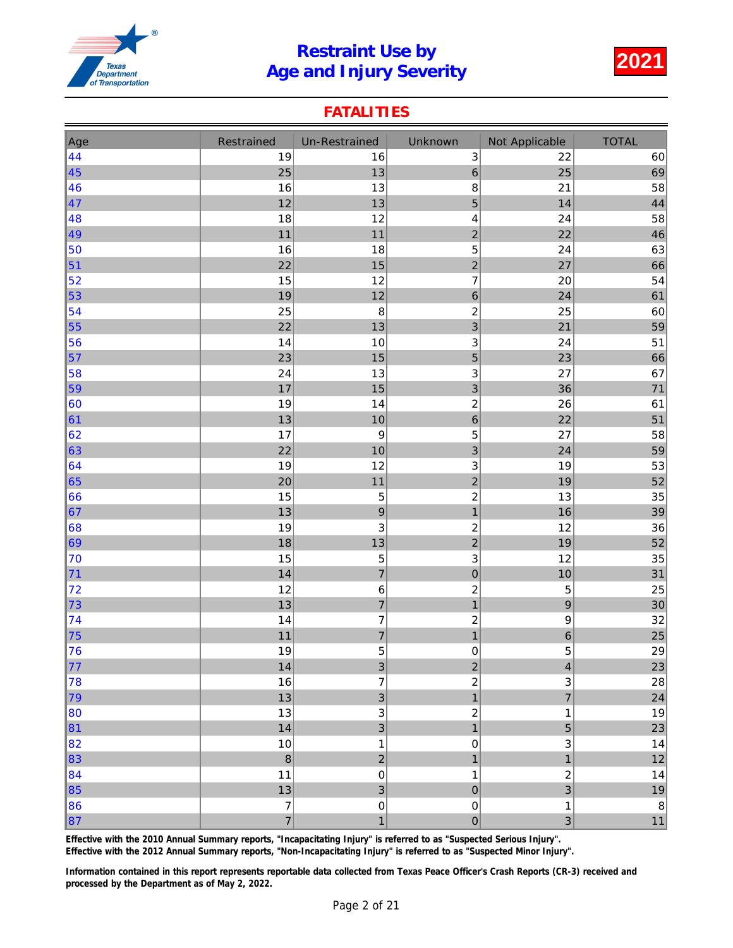

### **FATALITIES**

| Age | Restrained                         | Un-Restrained                 | Unknown                   | Not Applicable                     | <b>TOTAL</b> |
|-----|------------------------------------|-------------------------------|---------------------------|------------------------------------|--------------|
| 44  | 19                                 | 16                            | $\ensuremath{\mathsf{3}}$ | 22                                 | 60           |
| 45  | 25                                 | 13                            | $\,$ 6 $\,$               | 25                                 | 69           |
| 46  | 16                                 | 13                            | $\bf8$                    | 21                                 | 58           |
| 47  | 12                                 | 13                            | 5                         | 14                                 | 44           |
| 48  | 18                                 | 12                            | 4                         | 24                                 | 58           |
| 49  | 11                                 | 11                            | $\overline{c}$            | 22                                 | 46           |
| 50  | 16                                 | 18                            | 5                         | 24                                 | 63           |
| 51  | 22                                 | 15                            | $\overline{c}$            | 27                                 | 66           |
| 52  | 15                                 | 12                            | $\overline{\mathcal{I}}$  | 20                                 | 54           |
| 53  | 19                                 | 12                            | $\,$ 6 $\,$               | 24                                 | 61           |
| 54  | 25                                 | $\bf 8$                       | $\overline{\mathbf{c}}$   | 25                                 | 60           |
| 55  | 22                                 | 13                            | 3                         | 21                                 | 59           |
| 56  | 14                                 | 10                            | 3                         | 24                                 | 51           |
| 57  | 23                                 | 15                            | 5                         | 23                                 | 66           |
| 58  | 24                                 | 13                            | 3                         | 27                                 | 67           |
| 59  | 17                                 | 15                            | 3                         | 36                                 | 71           |
| 60  | 19                                 | 14                            | $\boldsymbol{2}$          | 26                                 | 61           |
| 61  | 13                                 | 10                            | $\,6$                     | 22                                 | 51           |
| 62  | 17                                 | $\boldsymbol{9}$              | $\mathbf 5$               | 27                                 | 58           |
| 63  | 22                                 | 10                            | 3                         | 24                                 | 59           |
| 64  | 19                                 | 12                            | 3                         | 19                                 | 53           |
| 65  | 20                                 | 11                            | $\overline{c}$            | 19                                 | 52           |
| 66  | 15                                 | 5                             | $\overline{c}$            | 13                                 | 35           |
| 67  | 13                                 | 9                             | $\mathbf{1}$              | 16                                 | 39           |
| 68  | 19                                 | $\mathsf 3$                   | $\boldsymbol{2}$          | 12                                 | 36           |
| 69  | 18                                 | 13                            | $\overline{c}$            | 19                                 | 52           |
| 70  | 15                                 | 5                             | $\ensuremath{\mathsf{3}}$ | 12                                 | 35           |
| 71  | 14                                 | $\overline{7}$                | $\pmb{0}$                 | 10                                 | 31           |
| 72  | 12                                 | 6                             | $\overline{c}$            | 5                                  | 25           |
| 73  | 13                                 | $\overline{7}$                | $\mathbf{1}$              | $\boldsymbol{9}$                   | 30           |
| 74  | 14                                 | 7                             | $\overline{\mathbf{c}}$   | $\boldsymbol{9}$                   | 32           |
| 75  | 11                                 | $\overline{7}$                | $\mathbf{1}$              | $\,$ 6 $\,$                        | 25           |
| 76  | 19                                 | 5                             | $\mathbf 0$               | 5                                  | 29           |
| 77  | 14                                 | 3                             | $\overline{\mathbf{c}}$   | 4                                  | 23           |
| 78  | 16                                 | $\overline{7}$                | $\overline{c}$            | $\ensuremath{\mathsf{3}}$          | 28           |
| 79  | 13                                 | 3                             | $\mathbf{1}$              | $\overline{7}$                     | 24           |
| 80  | 13                                 | $\overline{3}$                | $\boldsymbol{2}$          | $\mathbf{1}$                       | 19           |
| 81  | 14                                 | 3                             | $\mathbf{1}$              | $\sqrt{5}$                         | 23           |
| 82  | $10$                               | $\mathbf{1}$                  | $\mathbf 0$               | 3                                  | 14           |
| 83  | $\bf{8}$                           | $\overline{2}$                | $\mathbf{1}$              | $\mathbf{1}$                       | 12           |
| 84  | 11                                 | $\mathsf 0$                   | $\mathbf{1}$              | $\boldsymbol{2}$<br>$\overline{3}$ | 14           |
| 85  | 13                                 | 3                             | $\mathbf 0$               |                                    | $19$         |
| 86  | $\boldsymbol{7}$<br>$\overline{7}$ | $\mathbf 0$<br>$\overline{1}$ | $\pmb{0}$<br>$\mathbf 0$  | $\mathbf{1}$<br>$\overline{3}$     | $\, 8$<br>11 |
| 87  |                                    |                               |                           |                                    |              |

Effective with the 2010 Annual Summary reports, "Incapacitating Injury" is referred to as "Suspected Serious Injury". Effective with the 2012 Annual Summary reports, "Non-Incapacitating Injury" is referred to as "Suspected Minor Injury".

Information contained in this report represents reportable data collected from Texas Peace Officer's Crash Reports (CR-3) received and

processed by the Department as of May 2, 2022.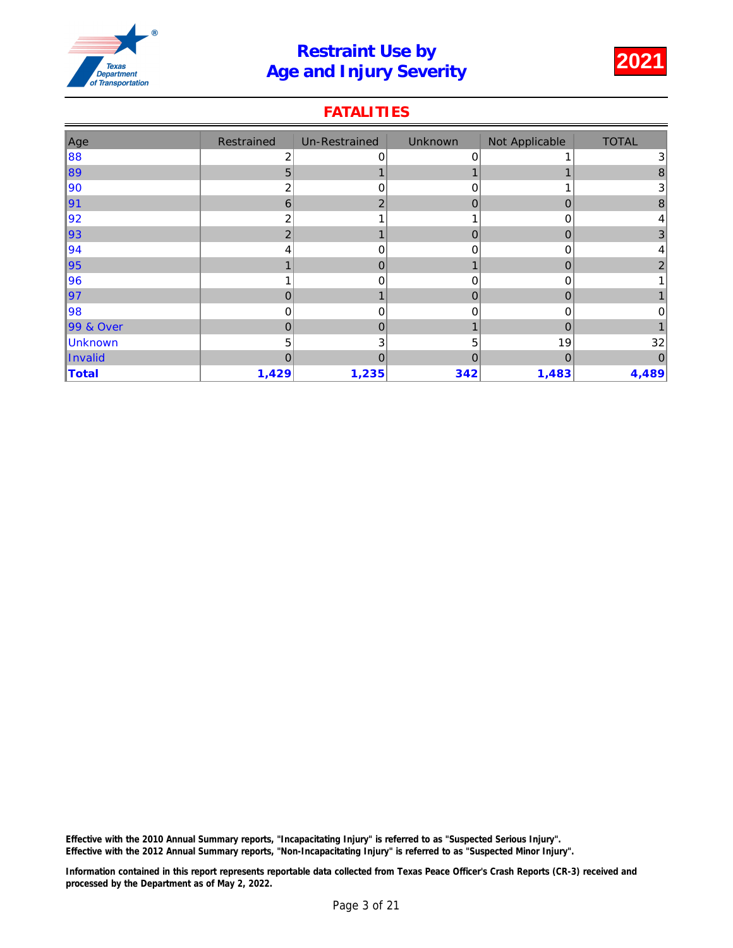

### **FATALITIES**

| Age            | Restrained | Un-Restrained  | <b>Unknown</b> | Not Applicable | <b>TOTAL</b> |
|----------------|------------|----------------|----------------|----------------|--------------|
| 88             | 2          | 0              | 0              |                | 3            |
| 89             | 5          |                |                |                | 8            |
| 90             | ◠          | 0              |                |                | 3            |
| ∥91            | 6          | 2              | 0              | $\overline{0}$ | 8            |
| 92             | 2          |                |                | 0              | 4            |
| 93             | 2          |                | 0              | $\overline{0}$ | 3            |
| 94             |            | 0              | 0              | 0              | 4            |
| 95             |            | $\overline{0}$ |                | $\overline{0}$ | 2            |
| 96             |            | 0              | 0              | 0              |              |
| ∥97            | $\Omega$   |                | 0              | $\overline{0}$ |              |
| 98             | O          | ი              | ი              | 0              | 0            |
| 99 & Over      | O          | $\Omega$       |                | $\Omega$       |              |
| <b>Unknown</b> | 5          | 3              | 5              | 19             | 32           |
| Invalid        | $\Omega$   | $\mathbf 0$    | 0              | $\mathbf 0$    | 0            |
| Total          | 1,429      | 1,235          | 342            | 1,483          | 4,489        |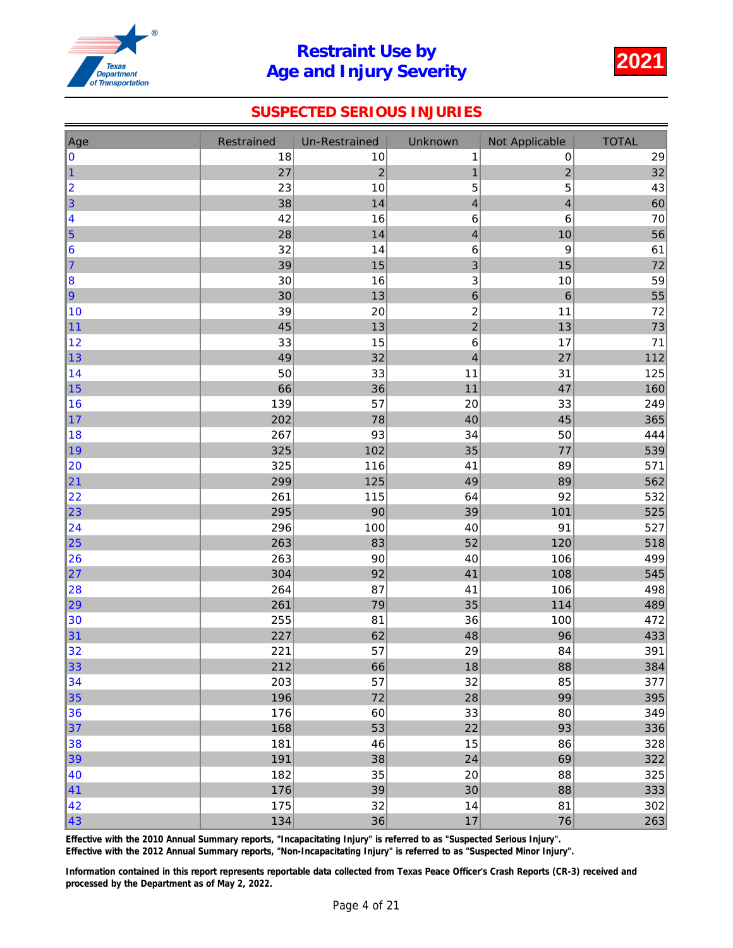

### SUSPECTED SERIOUS INJURIES

| Age              | Restrained | <b>Un-Restrained</b> | Unknown        | Not Applicable           | <b>TOTAL</b> |
|------------------|------------|----------------------|----------------|--------------------------|--------------|
| 0                | 18         | 10                   | 1              | $\,0\,$                  | 29           |
| $\vert$ 1        | 27         | $\overline{c}$       | $\mathbf{1}$   | $\overline{2}$           | 32           |
| 2                | 23         | 10                   | 5              | 5                        | 43           |
| 3                | 38         | 14                   | 4              | $\overline{\mathcal{L}}$ | 60           |
| $\vert 4 \vert$  | 42         | 16                   | 6              | $\,6$                    | $70\,$       |
| $\vert$ 5        | 28         | 14                   | 4              | 10                       | 56           |
| 6                | 32         | 14                   | 6              | 9                        | 61           |
| 17               | 39         | 15                   | 3              | 15                       | 72           |
| 8                | 30         | 16                   | 3              | 10                       | 59           |
| ∥9               | 30         | 13                   | 6              | $6\phantom{1}6$          | 55           |
| 10               | 39         | 20                   | $\overline{c}$ | 11                       | 72           |
| 11               | 45         | 13                   | $\overline{a}$ | 13                       | 73           |
| 12               | 33         | 15                   | $\,6$          | 17                       | 71           |
| 13               | 49         | 32                   | 4              | 27                       | 112          |
| 14               | 50         | 33                   | 11             | 31                       | 125          |
| 15               | 66         | 36                   | 11             | 47                       | 160          |
| 16               | 139        | 57                   | 20             | 33                       | 249          |
| $\vert$ 17       | 202        | 78                   | 40             | 45                       | 365          |
| 18               | 267        | 93                   | 34             | 50                       | 444          |
| ∥19              | 325        | 102                  | 35             | 77                       | 539          |
| 20               | 325        | 116                  | 41             | 89                       | 571          |
| 21               | 299        | 125                  | 49             | 89                       | 562          |
| 22               | 261        | 115                  | 64             | 92                       | 532          |
| 23               | 295        | 90                   | 39             | 101                      | 525          |
| 24               | 296        | 100                  | 40             | 91                       | 527          |
| 25               | 263        | 83                   | 52             | 120                      | 518          |
| 26               | 263        | 90                   | 40             | 106                      | 499          |
| 27               | 304        | 92                   | 41             | 108                      | 545          |
| 28               | 264        | 87                   | 41             | 106                      | 498          |
| 29               | 261        | 79                   | 35             | 114                      | 489          |
| 30               | 255        | 81                   | 36             | 100                      | 472          |
| 31               | 227        | 62                   | 48             | 96                       | 433          |
| 32               | 221        | 57                   | 29             | 84                       | 391          |
| 33               | 212        | 66                   | 18             | 88                       | 384          |
| 34               | 203        | 57                   | 32             | 85                       | 377          |
| 35               | 196        | 72                   | 28             | 99                       | 395          |
| 36               | 176        | 60                   | 33             | 80                       | 349          |
| 37               | 168        | 53                   | 22             | 93                       | 336          |
| 38               | 181        | 46                   | 15             | 86                       | 328          |
| 39               | 191        | 38                   | 24             | 69                       | 322          |
| 40               | 182        | 35                   | 20             | 88                       | 325          |
| $\vert 41 \vert$ | 176        | 39                   | 30             | 88                       | 333          |
| 42               | 175        | 32                   | 14             | 81                       | 302          |
| 43               | 134        | 36                   | 17             | 76                       | 263          |

Effective with the 2010 Annual Summary reports, "Incapacitating Injury" is referred to as "Suspected Serious Injury".

Effective with the 2012 Annual Summary reports, "Non-Incapacitating Injury" is referred to as "Suspected Minor Injury".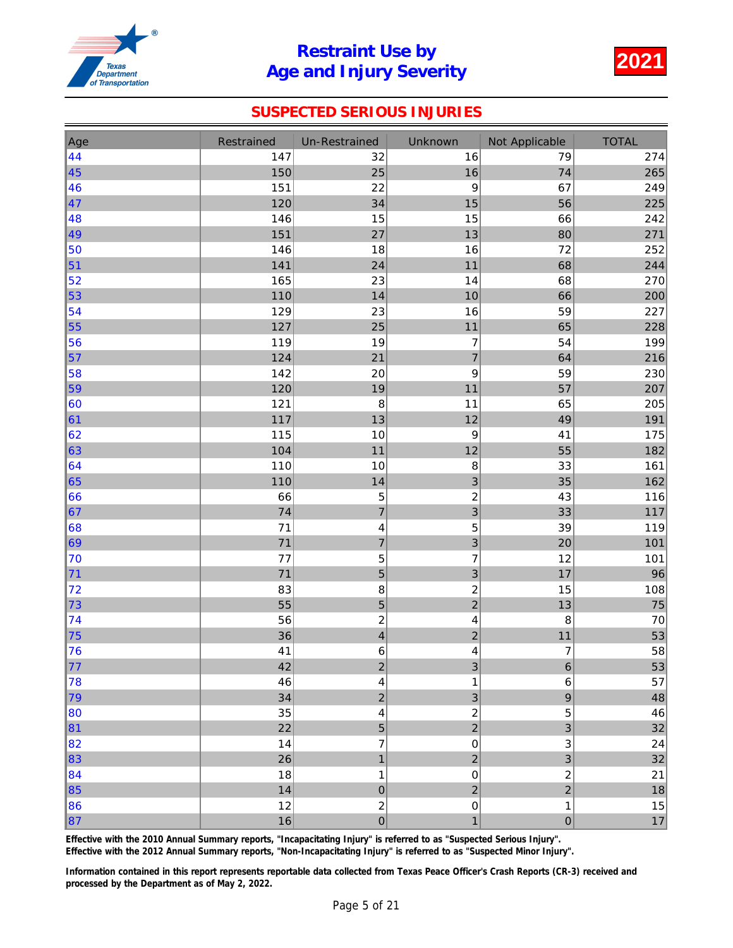# Restraint Use by Result in the DV of the Severity Control of the Severity Age and Injury Severity



### SUSPECTED SERIOUS INJURIES

| Age        | Restrained | Un-Restrained                    | Unknown                       | Not Applicable                     | <b>TOTAL</b> |
|------------|------------|----------------------------------|-------------------------------|------------------------------------|--------------|
| 44         | 147        | 32                               | 16                            | 79                                 | 274          |
| 45         | 150        | 25                               | 16                            | 74                                 | 265          |
| 46         | 151        | 22                               | 9                             | 67                                 | 249          |
| $\vert 47$ | 120        | 34                               | 15                            | 56                                 | 225          |
| 48         | 146        | 15                               | 15                            | 66                                 | 242          |
| 49         | 151        | 27                               | 13                            | 80                                 | 271          |
| 50         | 146        | 18                               | 16                            | 72                                 | 252          |
| $\vert$ 51 | 141        | 24                               | 11                            | 68                                 | 244          |
| 52         | 165        | 23                               | 14                            | 68                                 | 270          |
| 53         | 110        | 14                               | 10                            | 66                                 | 200          |
| 54         | 129        | 23                               | 16                            | 59                                 | 227          |
| 55         | 127        | 25                               | 11                            | 65                                 | 228          |
| 56         | 119        | 19                               | $\overline{7}$                | 54                                 | 199          |
| $\vert$ 57 | 124        | 21                               | $\overline{7}$                | 64                                 | 216          |
| 58         | 142        | 20                               | $\boldsymbol{9}$              | 59                                 | 230          |
| 59         | 120        | 19                               | 11                            | 57                                 | 207          |
| 60         | 121        | $\bf8$                           | 11                            | 65                                 | 205          |
| 61         | 117        | 13                               | 12                            | 49                                 | 191          |
| 62         | 115        | 10                               | 9                             | 41                                 | 175          |
| 63         | 104        | 11                               | 12                            | 55                                 | 182          |
| 64         | 110        | 10                               | 8                             | 33                                 | 161          |
| 65         | 110        | 14                               | 3                             | 35                                 | 162          |
| 66         | 66         | 5                                | $\overline{\mathbf{c}}$       | 43                                 | 116          |
| 67         | 74         | $\overline{7}$                   | 3                             | 33                                 | 117          |
| 68         | 71         | 4                                | 5                             | 39                                 | 119          |
| 69         | 71         | $\overline{7}$                   | 3                             | 20                                 | 101          |
| 70         | 77         | 5                                | $\overline{7}$                | 12                                 | 101          |
| 71         | 71         | 5                                | 3                             | 17                                 | 96           |
| 72         | 83         | 8                                | $\overline{\mathbf{c}}$       | 15                                 | 108          |
| 73         | 55         | 5                                | $\overline{a}$                | 13                                 | 75           |
| 74         | 56         | $\overline{\mathbf{c}}$          | 4                             | 8                                  | $70\,$       |
| 75         | 36         | $\overline{4}$                   | $\overline{a}$                | 11                                 | 53           |
| 76         | 41         | 6                                | 4                             | $\overline{\mathbf{7}}$            | 58           |
| $\vert$ 77 | 42         | $\overline{\mathbf{c}}$          | 3                             | $\,6$                              | 53           |
| 78         | 46         | 4                                | $\mathbf{1}$                  | 6                                  | 57           |
| 79         | 34         | $\overline{2}$                   | $\ensuremath{\mathsf{3}}$     | $\boldsymbol{9}$                   | 48           |
| 80         | 35         | 4                                | $\overline{c}$                | $\overline{5}$                     | 46           |
| 81         | 22         | 5                                | $\overline{2}$                | 3                                  | 32           |
| 82         | 14         | $\overline{7}$                   | $\mathbf 0$                   | 3                                  | 24           |
| 83         | 26         | $\mathbf{1}$                     | $\overline{c}$                | 3                                  | 32           |
| 84         | 18         | 1                                | $\mathbf 0$<br>$\overline{2}$ | $\boldsymbol{2}$<br>$\overline{2}$ | 21           |
| 85         | 14         | $\overline{0}$                   |                               |                                    | 18           |
| 86         | 12<br>16   | $\overline{c}$<br>$\overline{0}$ | $\pmb{0}$<br>$\overline{1}$   | $\mathbf 1$<br>$\mathbf 0$         | 15<br>$17\,$ |
| 87         |            |                                  |                               |                                    |              |

Effective with the 2010 Annual Summary reports, "Incapacitating Injury" is referred to as "Suspected Serious Injury".

Effective with the 2012 Annual Summary reports, "Non-Incapacitating Injury" is referred to as "Suspected Minor Injury".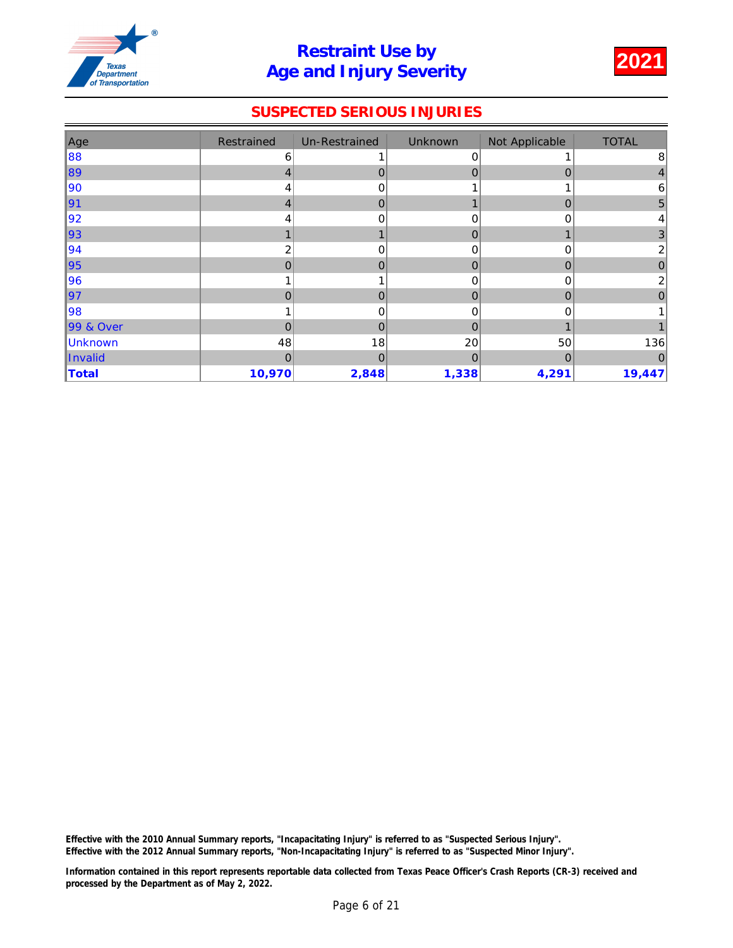

### SUSPECTED SERIOUS INJURIES

| Age       | Restrained | Un-Restrained | <b>Unknown</b> | Not Applicable | <b>TOTAL</b>    |
|-----------|------------|---------------|----------------|----------------|-----------------|
| 88        | 6          |               | $\Omega$       |                | 8 <sup>1</sup>  |
| 89        |            | $\Omega$      | 0              | $\Omega$       | 4               |
| 90        |            | 0             |                |                | 6               |
| ∥91       | 4          | $\Omega$      |                | $\Omega$       | 5 <sup>5</sup>  |
| 92        |            |               |                | 0              | $\vert 4 \vert$ |
| 93        |            |               | $\mathbf 0$    |                | 3 <sup>2</sup>  |
| 94        |            | 0             | 0              | 0              | 2               |
| 95        |            | $\Omega$      | 0              | $\Omega$       | 0               |
| 96        |            |               |                | 0              | 2               |
| ∥97       | O          | $\Omega$      | $\Omega$       | 0              | $\overline{0}$  |
| 98        |            | O             | ი              | O              |                 |
| 99 & Over |            | O             | O              |                |                 |
| Unknown   | 48         | 18            | 20             | 50             | 136             |
| Invalid   | 0          | $\mathbf 0$   | $\Omega$       | $\overline{0}$ | 0               |
| Total     | 10,970     | 2,848         | 1,338          | 4,291          | 19,447          |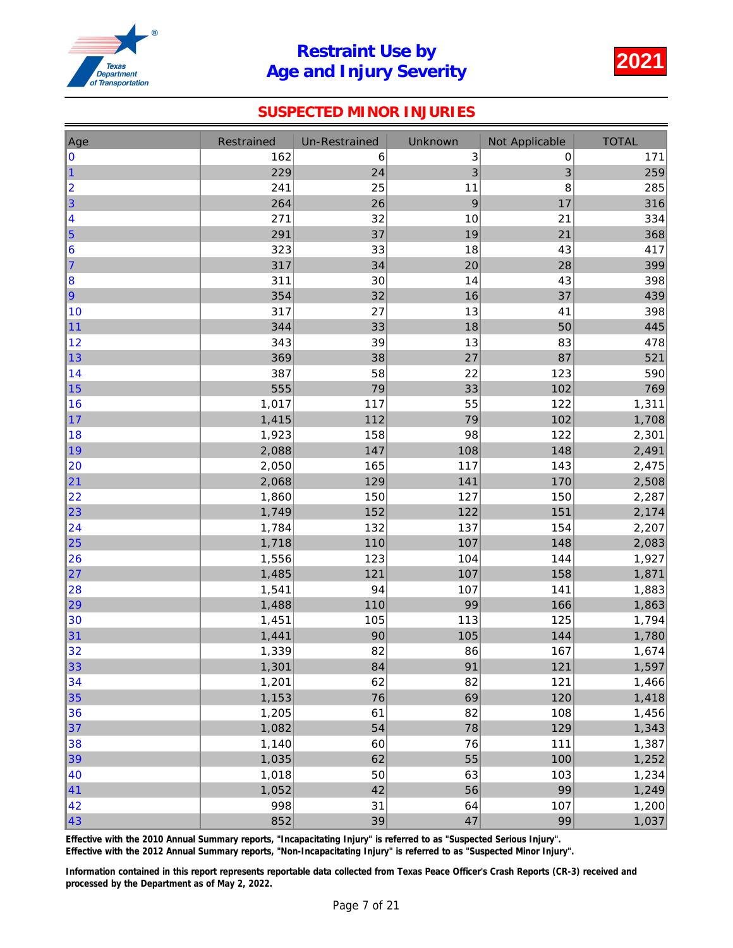

### SUSPECTED MINOR INJURIES

| Age       | Restrained | <b>Un-Restrained</b> | Unknown | Not Applicable | <b>TOTAL</b> |
|-----------|------------|----------------------|---------|----------------|--------------|
| 10        | 162        | 6                    | 3       | $\pmb{0}$      | 171          |
| 1         | 229        | 24                   | 3       | $\mathfrak{B}$ | 259          |
| 2         | 241        | 25                   | 11      | 8              | 285          |
| 3         | 264        | 26                   | 9       | 17             | 316          |
| 4         | 271        | 32                   | 10      | 21             | 334          |
| $\vert$ 5 | 291        | 37                   | 19      | 21             | 368          |
| 16        | 323        | 33                   | 18      | 43             | 417          |
| 17        | 317        | 34                   | 20      | 28             | 399          |
| 8         | 311        | 30                   | 14      | 43             | 398          |
| 9         | 354        | 32                   | 16      | 37             | 439          |
| 10        | 317        | 27                   | 13      | 41             | 398          |
| 11        | 344        | 33                   | 18      | 50             | 445          |
| 12        | 343        | 39                   | 13      | 83             | 478          |
| 13        | 369        | 38                   | 27      | 87             | 521          |
| 14        | 387        | 58                   | 22      | 123            | 590          |
| 15        | 555        | 79                   | 33      | 102            | 769          |
| 16        | 1,017      | 117                  | 55      | 122            | 1,311        |
| 17        | 1,415      | 112                  | 79      | 102            | 1,708        |
| 18        | 1,923      | 158                  | 98      | 122            | 2,301        |
| 19        | 2,088      | 147                  | 108     | 148            | 2,491        |
| 20        | 2,050      | 165                  | 117     | 143            | 2,475        |
| 21        | 2,068      | 129                  | 141     | 170            | 2,508        |
| 22        | 1,860      | 150                  | 127     | 150            | 2,287        |
| 23        | 1,749      | 152                  | 122     | 151            | 2,174        |
| 24        | 1,784      | 132                  | 137     | 154            | 2,207        |
| 25        | 1,718      | 110                  | 107     | 148            | 2,083        |
| 26        | 1,556      | 123                  | 104     | 144            | 1,927        |
| 27        | 1,485      | 121                  | 107     | 158            | 1,871        |
| 28        | 1,541      | 94                   | 107     | 141            | 1,883        |
| 29        | 1,488      | 110                  | 99      | 166            | 1,863        |
| 30        | 1,451      | 105                  | 113     | 125            | 1,794        |
| 31        | 1,441      | 90                   | 105     | 144            | 1,780        |
| 32        | 1,339      | 82                   | 86      | 167            | 1,674        |
| 33        | 1,301      | 84                   | 91      | 121            | 1,597        |
| 34        | 1,201      | 62                   | 82      | 121            | 1,466        |
| 35        | 1,153      | 76                   | 69      | 120            | 1,418        |
| 36        | 1,205      | 61                   | 82      | 108            | 1,456        |
| 37        | 1,082      | 54                   | 78      | 129            | 1,343        |
| 38        | 1,140      | 60                   | 76      | 111            | 1,387        |
| 39        | 1,035      | 62                   | 55      | 100            | 1,252        |
| 40        | 1,018      | 50                   | 63      | 103            | 1,234        |
| 41        | 1,052      | 42                   | 56      | 99             | 1,249        |
| 42        | 998        | 31                   | 64      | 107            | 1,200        |
| 43        | 852        | 39                   | 47      | 99             | 1,037        |

Effective with the 2010 Annual Summary reports, "Incapacitating Injury" is referred to as "Suspected Serious Injury".

Effective with the 2012 Annual Summary reports, "Non-Incapacitating Injury" is referred to as "Suspected Minor Injury".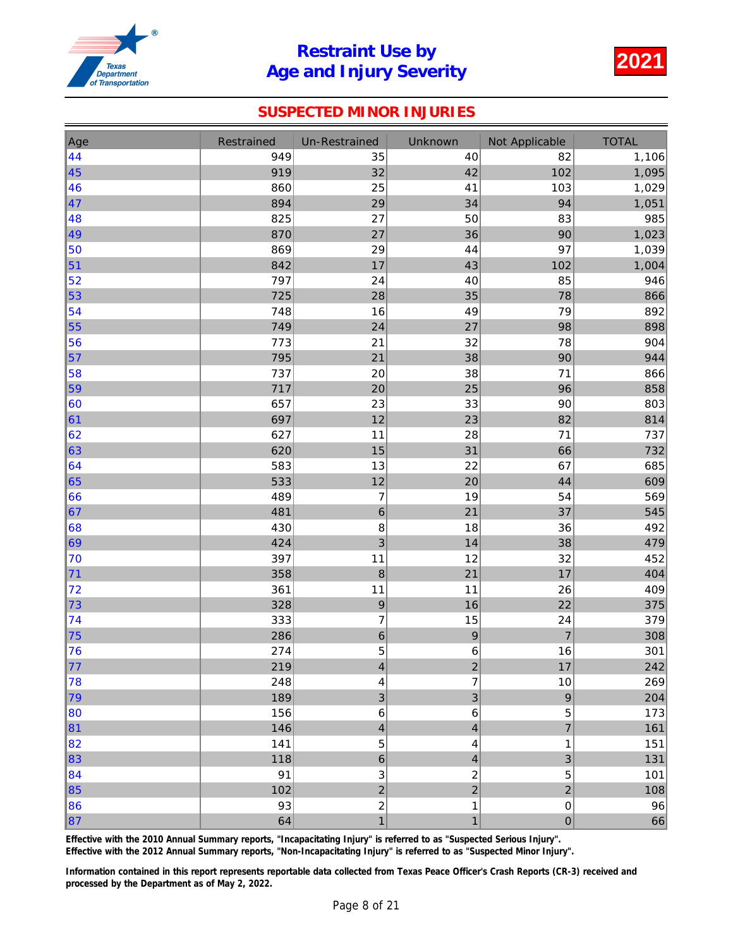

### SUSPECTED MINOR INJURIES

| Age        | Restrained | <b>Un-Restrained</b>    | Unknown                 | Not Applicable   | <b>TOTAL</b> |
|------------|------------|-------------------------|-------------------------|------------------|--------------|
| 44         | 949        | 35                      | 40                      | 82               | 1,106        |
| 45         | 919        | 32                      | 42                      | 102              | 1,095        |
| 46         | 860        | 25                      | 41                      | 103              | 1,029        |
| 47         | 894        | 29                      | 34                      | 94               | 1,051        |
| 48         | 825        | 27                      | 50                      | 83               | 985          |
| 49         | 870        | 27                      | 36                      | 90               | 1,023        |
| 50         | 869        | 29                      | 44                      | 97               | 1,039        |
| 51         | 842        | 17                      | 43                      | 102              | 1,004        |
| 52         | 797        | 24                      | 40                      | 85               | 946          |
| 53         | 725        | 28                      | 35                      | 78               | 866          |
| 54         | 748        | 16                      | 49                      | 79               | 892          |
| 55         | 749        | 24                      | 27                      | 98               | 898          |
| 56         | 773        | 21                      | 32                      | 78               | 904          |
| 57         | 795        | 21                      | 38                      | 90               | 944          |
| 58         | 737        | 20                      | 38                      | 71               | 866          |
| 59         | 717        | 20                      | 25                      | 96               | 858          |
| 60         | 657        | 23                      | 33                      | 90               | 803          |
| 61         | 697        | 12                      | 23                      | 82               | 814          |
| 62         | 627        | 11                      | 28                      | 71               | 737          |
| 63         | 620        | 15                      | 31                      | 66               | 732          |
| 64         | 583        | 13                      | 22                      | 67               | 685          |
| 65         | 533        | 12                      | 20                      | 44               | 609          |
| 66         | 489        | $\overline{7}$          | 19                      | 54               | 569          |
| 67         | 481        | 6                       | 21                      | 37               | 545          |
| 68         | 430        | 8                       | 18                      | 36               | 492          |
| ∣69        | 424        | 3                       | 14                      | 38               | 479          |
| 70         | 397        | 11                      | 12                      | 32               | 452          |
| 71         | 358        | 8                       | 21                      | 17               | 404          |
| 72         | 361        | 11                      | 11                      | 26               | 409          |
| 73         | 328        | 9                       | 16                      | 22               | 375          |
| 74         | 333        | $\overline{7}$          | 15                      | 24               | 379          |
| 75         | 286        | 6                       | 9                       | $\overline{7}$   | 308          |
| 76         | 274        | 5                       | 6                       | 16               | 301          |
| 77         | 219        | $\overline{\mathbf{r}}$ | $\overline{\mathbf{c}}$ | 17               | 242          |
| 78         | 248        | 4                       | $\overline{\mathbf{7}}$ | 10               | 269          |
| 79         | 189        | 3                       | $\mathfrak{B}$          | $\boldsymbol{9}$ | 204          |
| 80         | 156        | 6                       | $\,6$                   | 5                | 173          |
| 81         | 146        | $\overline{\mathbf{4}}$ | $\overline{\mathbf{4}}$ | $\overline{7}$   | 161          |
| 82         | 141        | 5                       | 4                       | $\mathbf 1$      | 151          |
| 83         | 118        | 6                       | $\overline{\mathbf{4}}$ | 3                | 131          |
| 84         | 91         | 3                       | $\overline{c}$          | 5                | 101          |
| $\vert$ 85 | 102        | $\overline{c}$          | $\overline{2}$          | $\overline{2}$   | 108          |
| 86         | 93         | $\overline{c}$          | $\mathbf{1}$            | $\pmb{0}$        | 96           |
| $\vert$ 87 | 64         | $\overline{1}$          | $\mathbf{1}$            | $\mathbf 0$      | 66           |

Effective with the 2010 Annual Summary reports, "Incapacitating Injury" is referred to as "Suspected Serious Injury".

Effective with the 2012 Annual Summary reports, "Non-Incapacitating Injury" is referred to as "Suspected Minor Injury".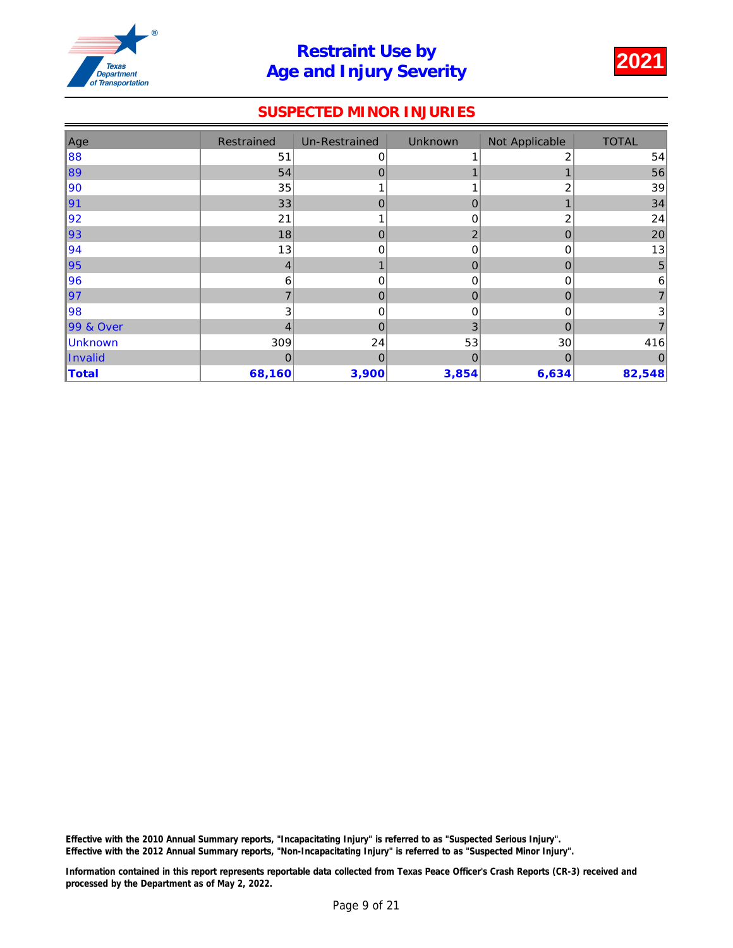

### SUSPECTED MINOR INJURIES

| Age            | Restrained | Un-Restrained | Unknown        | Not Applicable | <b>TOTAL</b> |
|----------------|------------|---------------|----------------|----------------|--------------|
| 88             | 51         | 0             |                | 2              | 54           |
| 89             | 54         | 0             |                |                | 56           |
| 90             | 35         |               |                | 2              | 39           |
| 91             | 33         | 0             | $\Omega$       |                | 34           |
| 92             | 21         |               | 0              | 2              | 24           |
| 93             | 18         | 0             | $\overline{2}$ | $\mathbf 0$    | 20           |
| 94             | 13         | O             | 0              | 0              | 13           |
| 95             | 4          |               | $\Omega$       | $\overline{0}$ | 5            |
| 96             | 6          | 0             | 0              | 0              | 6            |
| 97             |            | 0             | $\mathbf 0$    | $\mathbf 0$    |              |
| 98             | 3          | 0             | $\Omega$       | $\Omega$       | 3            |
| 99 & Over      | 4          | 0             | 3              | $\Omega$       |              |
| <b>Unknown</b> | 309        | 24            | 53             | 30             | 416          |
| Invalid        | 0          | $\Omega$      | $\Omega$       | $\overline{0}$ |              |
| <b>Total</b>   | 68,160     | 3,900         | 3,854          | 6,634          | 82,548       |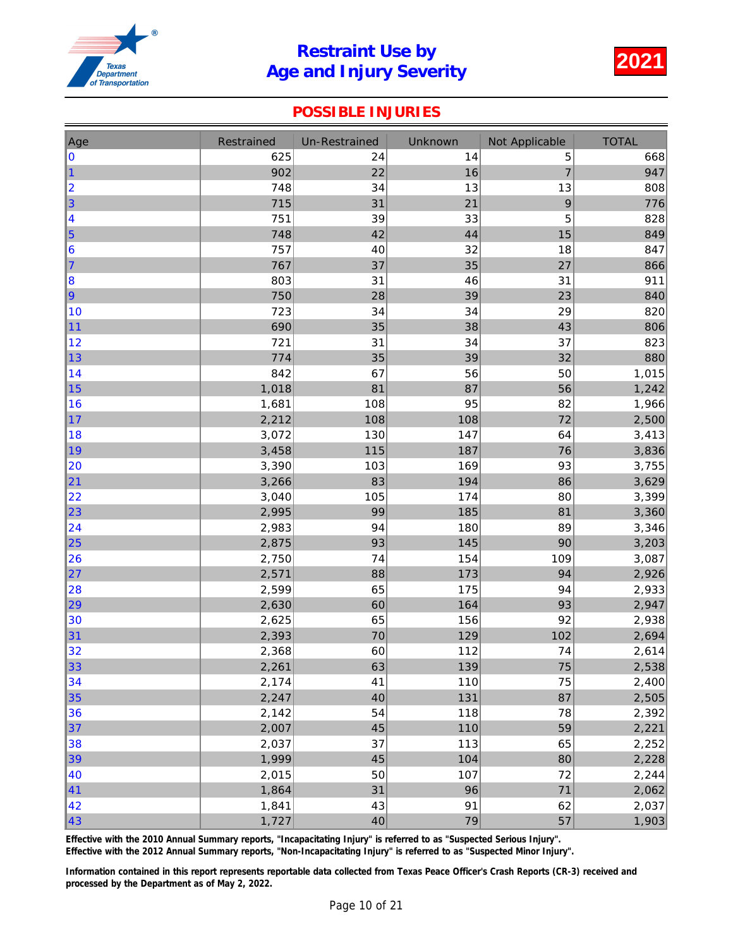

#### POSSIBLE INJURIES

| Age       | Restrained | <b>Un-Restrained</b> | Unknown | Not Applicable | <b>TOTAL</b> |
|-----------|------------|----------------------|---------|----------------|--------------|
| 0         | 625        | 24                   | 14      | 5              | 668          |
| $\vert$ 1 | 902        | 22                   | 16      | $\overline{7}$ | 947          |
| 2         | 748        | 34                   | 13      | 13             | 808          |
| 3         | 715        | 31                   | 21      | 9              | 776          |
| 4         | 751        | 39                   | 33      | 5              | 828          |
| $\vert$ 5 | 748        | 42                   | 44      | 15             | 849          |
| 6         | 757        | 40                   | 32      | 18             | 847          |
| 17        | 767        | 37                   | 35      | 27             | 866          |
| 8         | 803        | 31                   | 46      | 31             | 911          |
| 9         | 750        | 28                   | 39      | 23             | 840          |
| 10        | 723        | 34                   | 34      | 29             | 820          |
| 11        | 690        | 35                   | 38      | 43             | 806          |
| 12        | 721        | 31                   | 34      | 37             | 823          |
| 13        | 774        | 35                   | 39      | 32             | 880          |
| 14        | 842        | 67                   | 56      | 50             | 1,015        |
| 15        | 1,018      | 81                   | 87      | 56             | 1,242        |
| 16        | 1,681      | 108                  | 95      | 82             | 1,966        |
| 17        | 2,212      | 108                  | 108     | 72             | 2,500        |
| 18        | 3,072      | 130                  | 147     | 64             | 3,413        |
| 19        | 3,458      | 115                  | 187     | 76             | 3,836        |
| 20        | 3,390      | 103                  | 169     | 93             | 3,755        |
| 21        | 3,266      | 83                   | 194     | 86             | 3,629        |
| 22        | 3,040      | 105                  | 174     | 80             | 3,399        |
| 23        | 2,995      | 99                   | 185     | 81             | 3,360        |
| 24        | 2,983      | 94                   | 180     | 89             | 3,346        |
| 25        | 2,875      | 93                   | 145     | 90             | 3,203        |
| 26        | 2,750      | 74                   | 154     | 109            | 3,087        |
| 27        | 2,571      | 88                   | 173     | 94             | 2,926        |
| 28        | 2,599      | 65                   | 175     | 94             | 2,933        |
| ∥29       | 2,630      | 60                   | 164     | 93             | 2,947        |
| 30        | 2,625      | 65                   | 156     | 92             | 2,938        |
| 31        | 2,393      | 70                   | 129     | 102            | 2,694        |
| 32        | 2,368      | 60                   | 112     | 74             | 2,614        |
| 33        | 2,261      | 63                   | 139     | 75             | 2,538        |
| 34        | 2,174      | 41                   | 110     | 75             | 2,400        |
| 35        | 2,247      | 40                   | 131     | 87             | 2,505        |
| 36        | 2,142      | 54                   | 118     | 78             | 2,392        |
| 37        | 2,007      | 45                   | 110     | 59             | 2,221        |
| 38        | 2,037      | 37                   | 113     | 65             | 2,252        |
| 39        | 1,999      | 45                   | 104     | 80             | 2,228        |
| 40        | 2,015      | 50                   | 107     | 72             | 2,244        |
| 41        | 1,864      | 31                   | 96      | 71             | 2,062        |
| 42        | 1,841      | 43                   | 91      | 62             | 2,037        |
| ∥43       | 1,727      | 40                   | 79      | 57             | 1,903        |

Effective with the 2010 Annual Summary reports, "Incapacitating Injury" is referred to as "Suspected Serious Injury".

Effective with the 2012 Annual Summary reports, "Non-Incapacitating Injury" is referred to as "Suspected Minor Injury".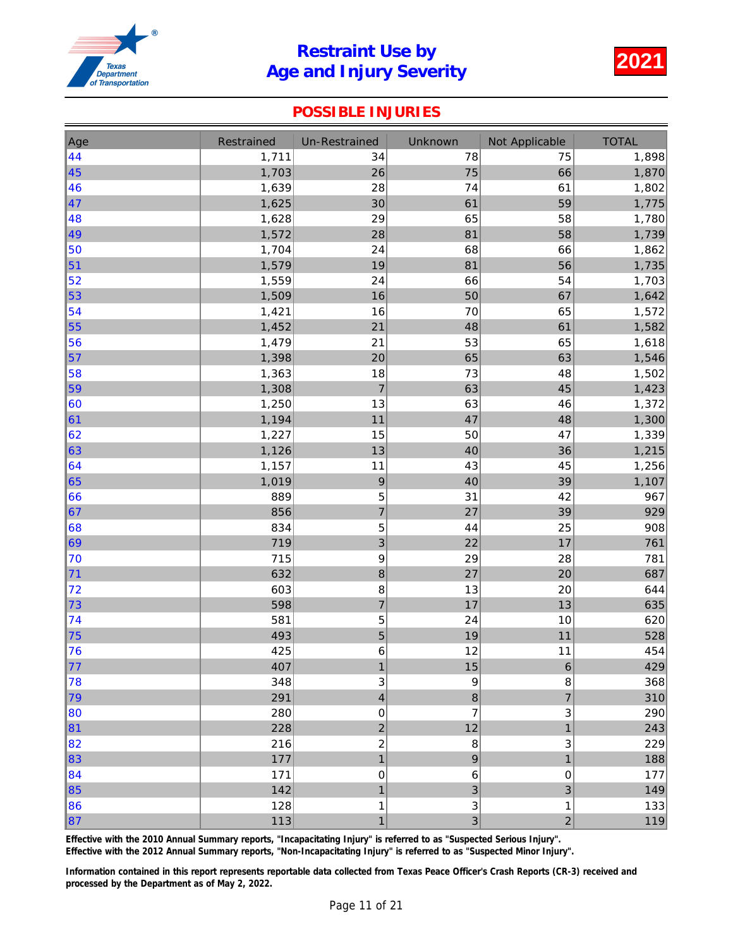

#### POSSIBLE INJURIES

| Age      | Restrained | <b>Un-Restrained</b>    | Unknown        | Not Applicable   | <b>TOTAL</b> |
|----------|------------|-------------------------|----------------|------------------|--------------|
| 44       | 1,711      | 34                      | 78             | 75               | 1,898        |
| 45       | 1,703      | 26                      | 75             | 66               | 1,870        |
| 46       | 1,639      | 28                      | 74             | 61               | 1,802        |
| 47       | 1,625      | 30                      | 61             | 59               | 1,775        |
| 48       | 1,628      | 29                      | 65             | 58               | 1,780        |
| 49       | 1,572      | 28                      | 81             | 58               | 1,739        |
| 50       | 1,704      | 24                      | 68             | 66               | 1,862        |
| 51       | 1,579      | 19                      | 81             | 56               | 1,735        |
| 52       | 1,559      | 24                      | 66             | 54               | 1,703        |
| 53       | 1,509      | 16                      | 50             | 67               | 1,642        |
| 54       | 1,421      | 16                      | 70             | 65               | 1,572        |
| 55       | 1,452      | 21                      | 48             | 61               | 1,582        |
| 56       | 1,479      | 21                      | 53             | 65               | 1,618        |
| 57       | 1,398      | 20                      | 65             | 63               | 1,546        |
| 58       | 1,363      | 18                      | 73             | 48               | 1,502        |
| 59       | 1,308      | $\overline{7}$          | 63             | 45               | 1,423        |
| 60       | 1,250      | 13                      | 63             | 46               | 1,372        |
| 61       | 1,194      | 11                      | 47             | 48               | 1,300        |
| 62       | 1,227      | 15                      | 50             | 47               | 1,339        |
| 63       | 1,126      | 13                      | 40             | 36               | 1,215        |
| 64       | 1,157      | 11                      | 43             | 45               | 1,256        |
| 65       | 1,019      | 9                       | 40             | 39               | 1,107        |
| 66       | 889        | 5                       | 31             | 42               | 967          |
| 67       | 856        | $\overline{7}$          | 27             | 39               | 929          |
| 68       | 834        | 5                       | 44             | 25               | 908          |
| 69       | 719        | 3                       | 22             | 17               | 761          |
| 70       | 715        | 9                       | 29             | 28               | 781          |
| 71       | 632        | 8                       | 27             | 20               | 687          |
| 72       | 603        | 8                       | 13             | 20               | 644          |
| 73       | 598<br>581 | $\overline{7}$<br>5     | 17<br>24       | 13<br>10         | 635<br>620   |
| 74<br>75 | 493        | 5                       | 19             | 11               | 528          |
| 76       | 425        | 6                       | 12             | 11               | 454          |
| 77       | 407        | 1                       | 15             | $\,6$            | 429          |
| 78       | 348        | 3                       | 9              | 8                | 368          |
| ∣79      | 291        | $\overline{\mathbf{4}}$ | 8              | $\overline{7}$   | 310          |
| 80       | 280        | 0                       | $\overline{7}$ | 3                | 290          |
| 81       | 228        | $\overline{c}$          | 12             | $\mathbf{1}$     | 243          |
| 82       | 216        | $\overline{c}$          | 8              | 3                | 229          |
| 83       | 177        | $\mathbf{1}$            | 9              | $\mathbf{1}$     | 188          |
| 84       | 171        | 0                       | 6              | $\boldsymbol{0}$ | 177          |
| 85       | 142        | $\mathbf{1}$            | 3              | 3                | 149          |
| 86       | 128        | 1                       | 3              | $\mathbf{1}$     | 133          |
| 87       | 113        | $\mathbf{1}$            | $\mathbf{3}$   | $\overline{c}$   | 119          |

Effective with the 2010 Annual Summary reports, "Incapacitating Injury" is referred to as "Suspected Serious Injury".

Effective with the 2012 Annual Summary reports, "Non-Incapacitating Injury" is referred to as "Suspected Minor Injury".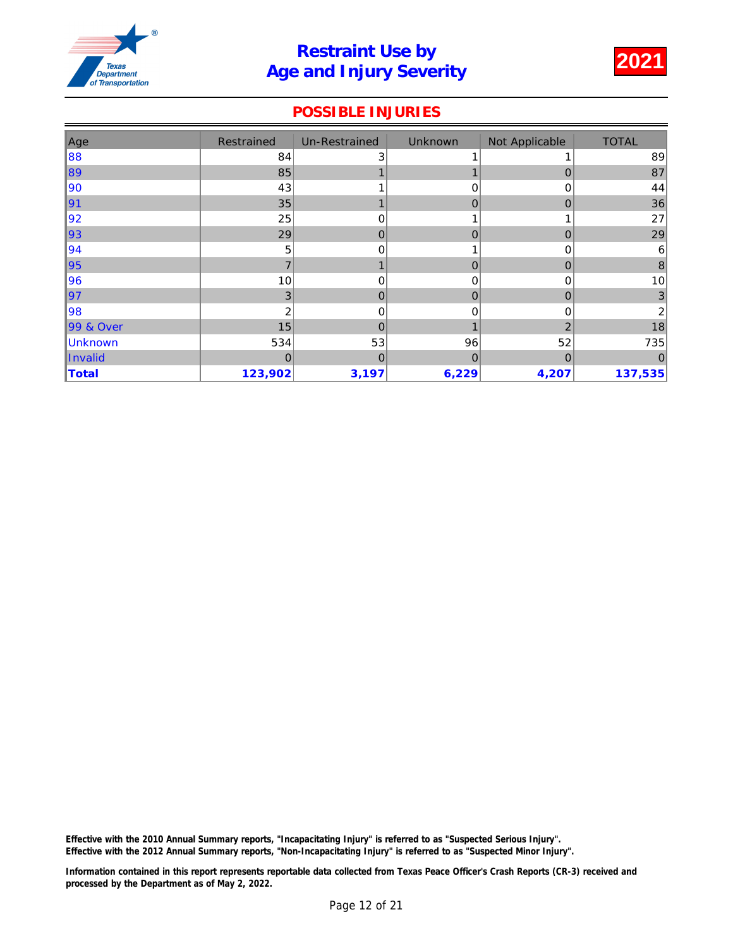

### POSSIBLE INJURIES

| Age            | Restrained | Un-Restrained | <b>Unknown</b> | Not Applicable | <b>TOTAL</b>    |
|----------------|------------|---------------|----------------|----------------|-----------------|
| 88             | 84         | 3             |                |                | 89              |
| 89             | 85         |               |                | $\mathbf 0$    | 87              |
| 90             | 43         |               | 0              | 0              | 44              |
| 91             | 35         |               | $\Omega$       | $\mathbf 0$    | 36              |
| 92             | 25         |               |                |                | 27              |
| 93             | 29         | 0             | $\Omega$       | $\mathbf 0$    | 29              |
| 94             | 5          | 0             |                | 0              | 6               |
| 95             |            |               | $\Omega$       | $\Omega$       | 8               |
| 96             | 10         |               | 0              | 0              | 10 <sup>1</sup> |
| 97             | 3          | 0             | $\mathbf{0}$   | $\mathbf 0$    | 3 <sup>1</sup>  |
| 98             |            | 0             | $\Omega$       | 0              |                 |
| 99 & Over      | 15         | $\Omega$      |                | $\overline{2}$ | 18              |
| <b>Unknown</b> | 534        | 53            | 96             | 52             | 735             |
| Invalid        | 0          | $\Omega$      | $\mathbf{0}$   | $\overline{0}$ |                 |
| Total          | 123,902    | 3,197         | 6,229          | 4,207          | 137,535         |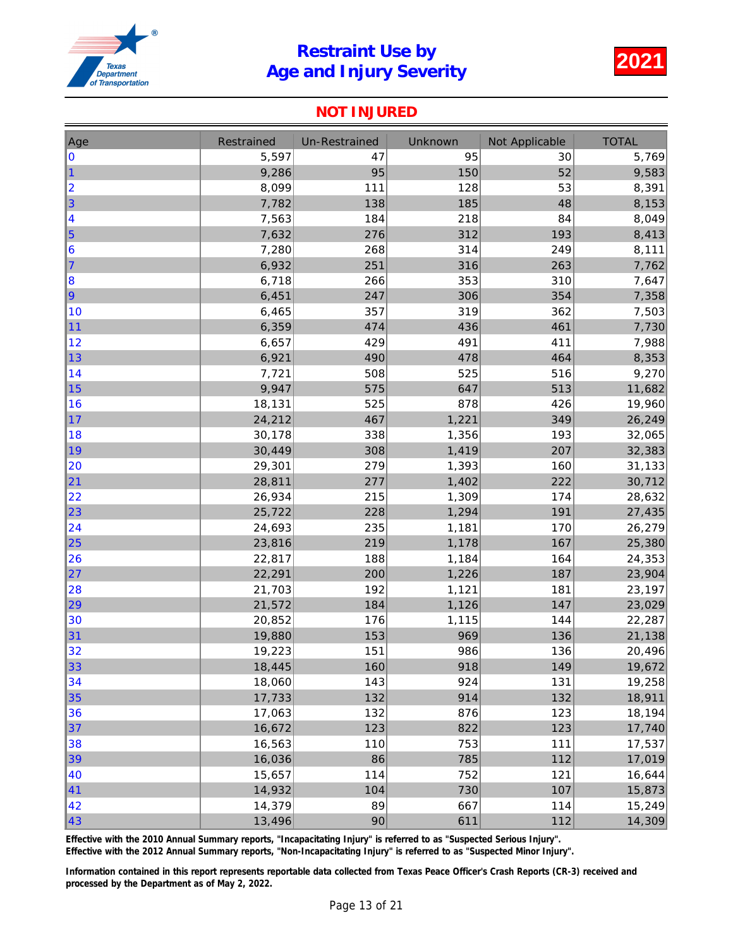

#### NOT INJURED

| Age       | Restrained | <b>Un-Restrained</b> | Unknown | Not Applicable | <b>TOTAL</b> |
|-----------|------------|----------------------|---------|----------------|--------------|
| 10        | 5,597      | 47                   | 95      | 30             | 5,769        |
| $\vert$ 1 | 9,286      | 95                   | 150     | 52             | 9,583        |
| 2         | 8,099      | 111                  | 128     | 53             | 8,391        |
| 3         | 7,782      | 138                  | 185     | 48             | 8,153        |
| 4         | 7,563      | 184                  | 218     | 84             | 8,049        |
| 5         | 7,632      | 276                  | 312     | 193            | 8,413        |
| 16        | 7,280      | 268                  | 314     | 249            | 8,111        |
| 17        | 6,932      | 251                  | 316     | 263            | 7,762        |
| 8         | 6,718      | 266                  | 353     | 310            | 7,647        |
| 9         | 6,451      | 247                  | 306     | 354            | 7,358        |
| 10        | 6,465      | 357                  | 319     | 362            | 7,503        |
| 11        | 6,359      | 474                  | 436     | 461            | 7,730        |
| 12        | 6,657      | 429                  | 491     | 411            | 7,988        |
| 13        | 6,921      | 490                  | 478     | 464            | 8,353        |
| 14        | 7,721      | 508                  | 525     | 516            | 9,270        |
| 15        | 9,947      | 575                  | 647     | 513            | 11,682       |
| 16        | 18,131     | 525                  | 878     | 426            | 19,960       |
| 17        | 24,212     | 467                  | 1,221   | 349            | 26,249       |
| 18        | 30,178     | 338                  | 1,356   | 193            | 32,065       |
| 19        | 30,449     | 308                  | 1,419   | 207            | 32,383       |
| 20        | 29,301     | 279                  | 1,393   | 160            | 31,133       |
| 21        | 28,811     | 277                  | 1,402   | 222            | 30,712       |
| 22        | 26,934     | 215                  | 1,309   | 174            | 28,632       |
| 23        | 25,722     | 228                  | 1,294   | 191            | 27,435       |
| 24        | 24,693     | 235                  | 1,181   | 170            | 26,279       |
| 25        | 23,816     | 219                  | 1,178   | 167            | 25,380       |
| 26        | 22,817     | 188                  | 1,184   | 164            | 24,353       |
| 27        | 22,291     | 200                  | 1,226   | 187            | 23,904       |
| 28        | 21,703     | 192                  | 1,121   | 181            | 23,197       |
| 29        | 21,572     | 184                  | 1,126   | 147            | 23,029       |
| 30        | 20,852     | 176                  | 1,115   | 144            | 22,287       |
| 31        | 19,880     | 153                  | 969     | 136            | 21,138       |
| 32        | 19,223     | 151                  | 986     | 136            | 20,496       |
| 33        | 18,445     | 160                  | 918     | 149            | 19,672       |
| 34        | 18,060     | 143                  | 924     | 131            | 19,258       |
| 35        | 17,733     | 132                  | 914     | 132            | 18,911       |
| 36        | 17,063     | 132                  | 876     | 123            | 18,194       |
| 37        | 16,672     | 123                  | 822     | 123            | 17,740       |
| 38        | 16,563     | 110                  | 753     | 111            | 17,537       |
| 39        | 16,036     | 86                   | 785     | 112            | 17,019       |
| 40        | 15,657     | 114                  | 752     | 121            | 16,644       |
| 41        | 14,932     | 104                  | 730     | 107            | 15,873       |
| 42        | 14,379     | 89                   | 667     | 114            | 15,249       |
| ∥43       | 13,496     | 90                   | 611     | 112            | 14,309       |

Effective with the 2010 Annual Summary reports, "Incapacitating Injury" is referred to as "Suspected Serious Injury".

Effective with the 2012 Annual Summary reports, "Non-Incapacitating Injury" is referred to as "Suspected Minor Injury".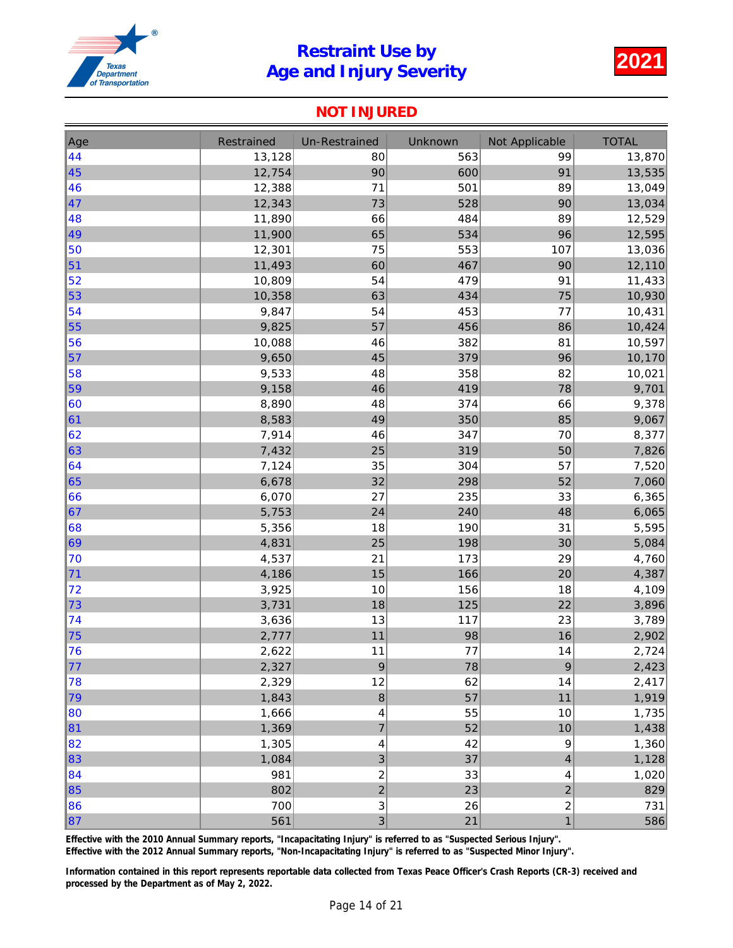

#### NOT INJURED

| Age        | Restrained | <b>Un-Restrained</b>     | Unknown | Not Applicable           | <b>TOTAL</b> |
|------------|------------|--------------------------|---------|--------------------------|--------------|
| 44         | 13,128     | 80                       | 563     | 99                       | 13,870       |
| 45         | 12,754     | 90                       | 600     | 91                       | 13,535       |
| 46         | 12,388     | 71                       | 501     | 89                       | 13,049       |
| 47         | 12,343     | 73                       | 528     | 90                       | 13,034       |
| 48         | 11,890     | 66                       | 484     | 89                       | 12,529       |
| 49         | 11,900     | 65                       | 534     | 96                       | 12,595       |
| 50         | 12,301     | 75                       | 553     | 107                      | 13,036       |
| 51         | 11,493     | 60                       | 467     | 90                       | 12,110       |
| 52         | 10,809     | 54                       | 479     | 91                       | 11,433       |
| 53         | 10,358     | 63                       | 434     | 75                       | 10,930       |
| 54         | 9,847      | 54                       | 453     | 77                       | 10,431       |
| 55         | 9,825      | 57                       | 456     | 86                       | 10,424       |
| 56         | 10,088     | 46                       | 382     | 81                       | 10,597       |
| 57         | 9,650      | 45                       | 379     | 96                       | 10,170       |
| 58         | 9,533      | 48                       | 358     | 82                       | 10,021       |
| 59         | 9,158      | 46                       | 419     | 78                       | 9,701        |
| 60         | 8,890      | 48                       | 374     | 66                       | 9,378        |
| 61         | 8,583      | 49                       | 350     | 85                       | 9,067        |
| 62         | 7,914      | 46                       | 347     | 70                       | 8,377        |
| 63         | 7,432      | 25                       | 319     | 50                       | 7,826        |
| 64         | 7,124      | 35                       | 304     | 57                       | 7,520        |
| 65         | 6,678      | 32                       | 298     | 52                       | 7,060        |
| 66         | 6,070      | 27                       | 235     | 33                       | 6,365        |
| 67         | 5,753      | 24                       | 240     | 48                       | 6,065        |
| 68         | 5,356      | 18                       | 190     | 31                       | 5,595        |
| 69         | 4,831      | 25                       | 198     | 30                       | 5,084        |
| 70         | 4,537      | 21                       | 173     | 29                       | 4,760        |
| 71         | 4,186      | 15                       | 166     | 20                       | 4,387        |
| 72         | 3,925      | 10                       | 156     | 18                       | 4,109        |
| 73         | 3,731      | 18                       | 125     | 22                       | 3,896        |
| 74         | 3,636      | 13                       | 117     | 23                       | 3,789        |
| 75         | 2,777      | 11                       | 98      | 16                       | 2,902        |
| 76         | 2,622      | 11                       | 77      | 14                       | 2,724        |
| $\vert 77$ | 2,327      | 9                        | 78      | $\boldsymbol{9}$         | 2,423        |
| 78         | 2,329      | 12                       | 62      | 14                       | 2,417        |
| 79         | 1,843      | 8                        | 57      | 11                       | 1,919        |
| 80         | 1,666      | $\overline{\mathcal{L}}$ | 55      | 10                       | 1,735        |
| 81         | 1,369      | $\overline{7}$           | 52      | 10                       | 1,438        |
| 82         | 1,305      | 4                        | 42      | 9                        | 1,360        |
| 83         | 1,084      | 3                        | 37      | $\overline{\mathcal{L}}$ | 1,128        |
| 84         | 981        | $\overline{\mathbf{c}}$  | 33      | 4                        | 1,020        |
| 85         | 802        | $\overline{2}$           | 23      | $\overline{c}$           | 829          |
| 86         | 700        | 3                        | 26      | $\overline{\mathbf{c}}$  | 731          |
| 87         | 561        | 3                        | 21      | $\overline{1}$           | 586          |

Effective with the 2010 Annual Summary reports, "Incapacitating Injury" is referred to as "Suspected Serious Injury".

Effective with the 2012 Annual Summary reports, "Non-Incapacitating Injury" is referred to as "Suspected Minor Injury".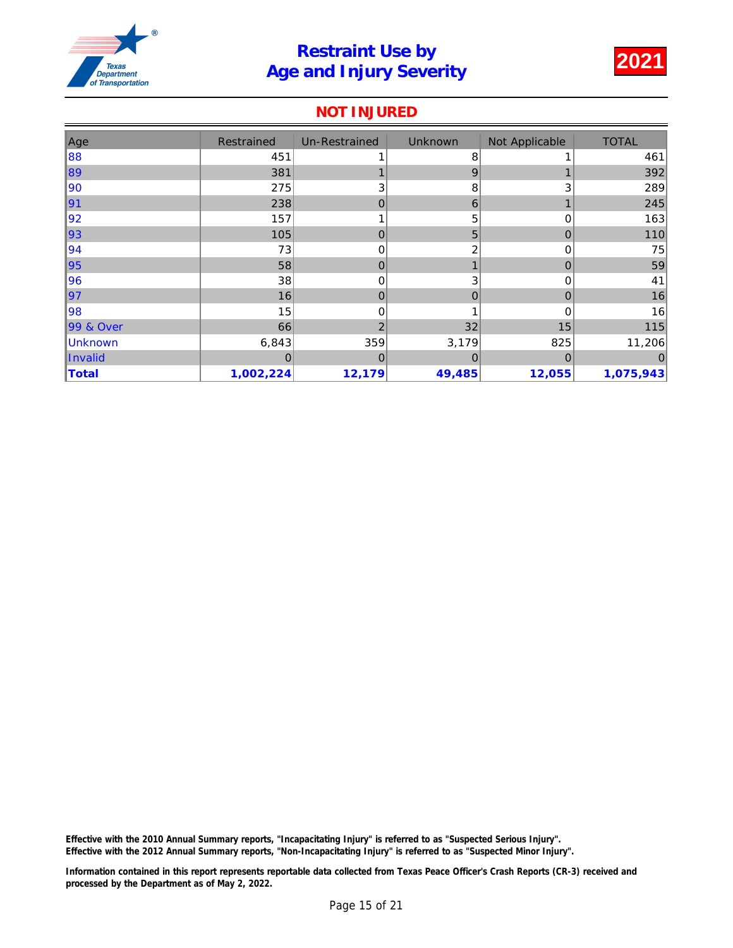

#### NOT INJURED

| Age       | Restrained | Un-Restrained  | <b>Unknown</b> | Not Applicable | <b>TOTAL</b> |
|-----------|------------|----------------|----------------|----------------|--------------|
| 88        | 451        |                | 8              |                | 461          |
| 89        | 381        |                | 9              |                | 392          |
| 90        | 275        | 3              | 8              | 3              | 289          |
| 91        | 238        | 0              | 6              |                | 245          |
| 92        | 157        |                | 5              | 0              | 163          |
| 93        | 105        | $\mathbf 0$    | 5              | $\mathbf 0$    | 110          |
| 94        | 73         | 0              | 2              | 0              | 75           |
| 95        | 58         | 0              |                | 0              | 59           |
| 96        | 38         | 0              | 3              | 0              | 41           |
| ∥97       | 16         | $\mathbf 0$    | $\mathbf 0$    | $\overline{0}$ | 16           |
| 98        | 15         | 0              |                | $\Omega$       | 16           |
| 99 & Over | 66         | $\overline{2}$ | 32             | 15             | 115          |
| Unknown   | 6,843      | 359            | 3,179          | 825            | 11,206       |
| Invalid   | 0          | $\overline{0}$ | $\mathbf 0$    | $\overline{0}$ | 0            |
| Total     | 1,002,224  | 12,179         | 49,485         | 12,055         | 1,075,943    |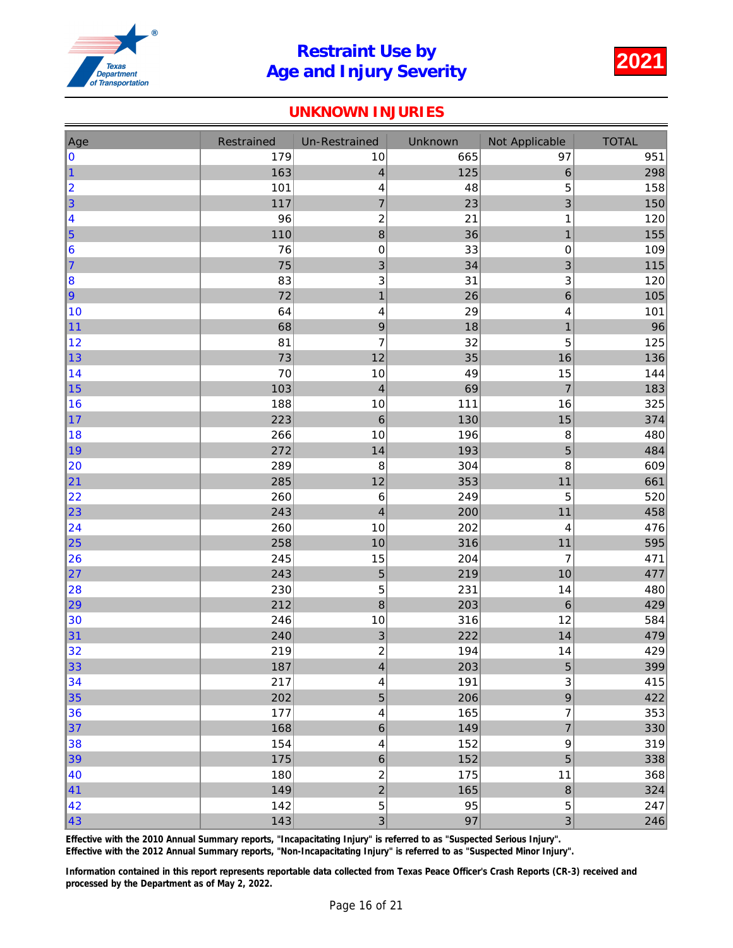

#### UNKNOWN INJURIES

| Age              | Restrained | Un-Restrained           | <b>Unknown</b> | Not Applicable            | <b>TOTAL</b> |
|------------------|------------|-------------------------|----------------|---------------------------|--------------|
| 0                | 179        | 10                      | 665            | 97                        | 951          |
| $\vert$ 1        | 163        | $\overline{\mathbf{4}}$ | 125            | $\,$ 6 $\,$               | 298          |
| 2                | 101        | 4                       | 48             | 5                         | 158          |
| 3                | 117        | $\overline{7}$          | 23             | 3                         | 150          |
| 4                | 96         | $\overline{\mathbf{c}}$ | 21             | $\mathbf 1$               | 120          |
| $\vert$ 5        | 110        | 8                       | 36             | $\mathbf{1}$              | 155          |
| 6                | 76         | 0                       | 33             | $\pmb{0}$                 | 109          |
| 17               | 75         | 3                       | 34             | $\mathbf{3}$              | 115          |
| 8                | 83         | 3                       | 31             | 3                         | 120          |
| 9                | 72         | $\mathbf{1}$            | 26             | $6\phantom{1}$            | 105          |
| 10               | 64         | 4                       | 29             | 4                         | 101          |
| 11               | 68         | 9                       | 18             | $\mathbf{1}$              | 96           |
| 12               | 81         | $\overline{7}$          | 32             | 5                         | 125          |
| 13               | 73         | 12                      | 35             | 16                        | 136          |
| 14               | 70         | $10$                    | 49             | 15                        | 144          |
| 15               | 103        | $\overline{\mathbf{4}}$ | 69             | $\overline{7}$            | 183          |
| 16               | 188        | 10                      | 111            | 16                        | 325          |
| $\vert$ 17       | 223        | 6                       | 130            | 15                        | 374          |
| 18               | 266        | 10                      | 196            | 8                         | 480          |
| ∥19              | 272        | 14                      | 193            | $\overline{5}$            | 484          |
| 20               | 289        | 8                       | 304            | 8                         | 609          |
| 21               | 285        | 12                      | 353            | 11                        | 661          |
| 22               | 260        | 6                       | 249            | 5                         | 520          |
| 23               | 243        | $\overline{\mathbf{4}}$ | 200            | 11                        | 458          |
| 24               | 260        | 10                      | 202            | 4                         | 476          |
| 25               | 258        | 10                      | 316            | 11                        | 595          |
| 26               | 245        | 15                      | 204            | $\overline{7}$            | 471          |
| 27               | 243        | 5                       | 219            | 10                        | 477          |
| 28               | 230        | 5                       | 231            | 14                        | 480          |
| 29               | 212        | 8                       | 203            | $\,$ 6 $\,$               | 429          |
| 30               | 246        | $10$                    | 316            | 12                        | 584          |
| 31               | 240        | 3                       | 222            | 14                        | 479          |
| 32               | 219        | $\overline{\mathbf{c}}$ | 194            | 14                        | 429          |
| 33               | 187        | $\overline{\mathbf{r}}$ | 203            | 5                         | 399          |
| 34               | 217        | 4                       | 191            | $\ensuremath{\mathsf{3}}$ | 415          |
| 35               | 202        | 5                       | 206            | $\overline{9}$            | 422          |
| 36               | 177        | 4                       | 165            | $\overline{7}$            | 353          |
| 37               | 168        | 6                       | 149            | $\overline{7}$            | 330          |
| 38               | 154        | $\overline{\mathbf{4}}$ | 152            | $\boldsymbol{9}$          | 319          |
| 39               | 175        | 6                       | 152            | 5                         | 338          |
| 40               | 180        | $\overline{\mathbf{c}}$ | 175            | 11                        | 368          |
| $\vert 41 \vert$ | 149        | $\overline{a}$          | 165            | $\bf{8}$                  | 324          |
| 42               | 142        | 5                       | 95             | 5                         | 247          |
| 43               | 143        | 3                       | 97             | 3                         | 246          |

Effective with the 2010 Annual Summary reports, "Incapacitating Injury" is referred to as "Suspected Serious Injury".

Effective with the 2012 Annual Summary reports, "Non-Incapacitating Injury" is referred to as "Suspected Minor Injury".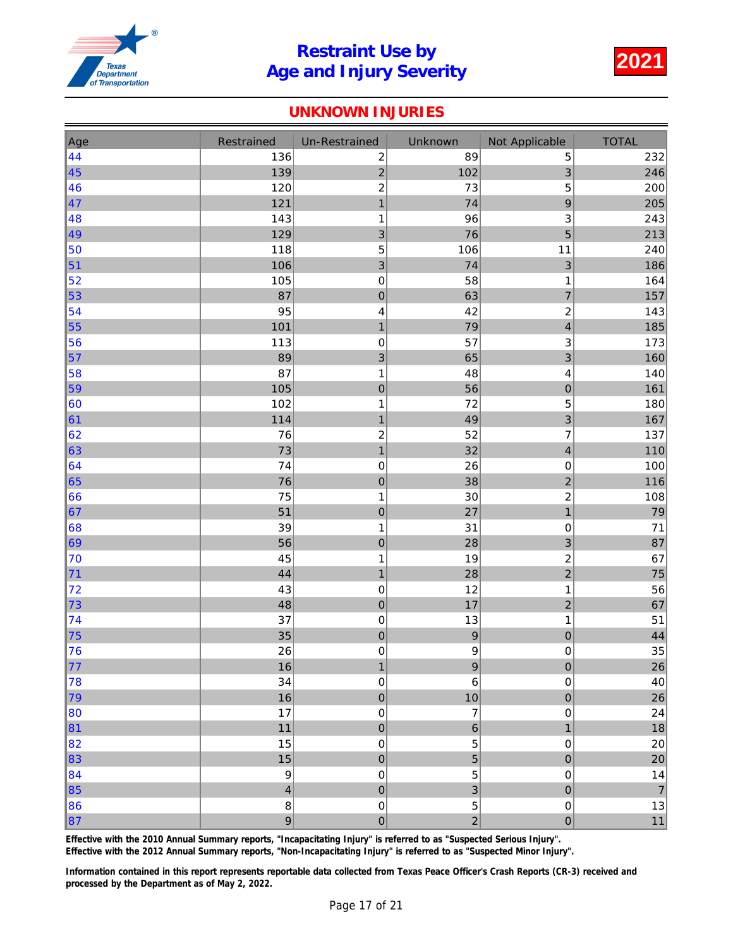

### UNKNOWN INJURIES

| Age        | Restrained              | Un-Restrained           | Unknown          | Not Applicable                 | <b>TOTAL</b>   |
|------------|-------------------------|-------------------------|------------------|--------------------------------|----------------|
| 44         | 136                     | $\overline{\mathbf{c}}$ | 89               | $\mathbf 5$                    | 232            |
| 45         | 139                     | $\overline{2}$          | 102              | 3                              | 246            |
| 46         | 120                     | $\overline{c}$          | 73               | 5                              | 200            |
| $\vert 47$ | 121                     | $\overline{1}$          | 74               | 9                              | 205            |
| 48         | 143                     | 1                       | 96               | 3                              | 243            |
| 49         | 129                     | 3                       | 76               | $\overline{5}$                 | 213            |
| 50         | 118                     | 5                       | 106              | 11                             | 240            |
| $\vert$ 51 | 106                     | 3                       | 74               | 3                              | 186            |
| 52         | 105                     | $\mathbf 0$             | 58               | $\mathbf{1}$                   | 164            |
| 53         | 87                      | $\overline{0}$          | 63               | $\overline{7}$                 | 157            |
| 54         | 95                      | 4                       | 42               | $\overline{\mathbf{c}}$        | 143            |
| 55         | 101                     | $\mathbf{1}$            | 79               | $\overline{4}$                 | 185            |
| 56         | 113                     | 0                       | 57               | 3                              | 173            |
| $\vert$ 57 | 89                      | 3                       | 65               | 3                              | 160            |
| 58         | 87                      | $\mathbf 1$             | 48               | 4                              | 140            |
| 59         | 105                     | $\pmb{0}$               | 56               | $\mathbf 0$                    | 161            |
| 60         | 102                     | 1                       | 72               | 5                              | 180            |
| 61         | 114                     | $\mathbf{1}$            | 49               | 3                              | 167            |
| 62         | 76                      | $\overline{c}$          | 52               | $\overline{7}$                 | 137            |
| 63         | 73                      | $\mathbf{1}$            | 32               | $\overline{\mathbf{4}}$        | 110            |
| 64         | 74                      | 0                       | 26               | $\pmb{0}$                      | 100            |
| 65         | 76                      | $\overline{0}$          | 38               | $\overline{2}$                 | 116            |
| 66         | 75                      | $\mathbf 1$             | 30               | $\overline{c}$                 | 108            |
| 67         | 51                      | $\overline{0}$          | 27               | $\overline{\mathbf{1}}$        | 79             |
| 68         | 39                      | 1                       | 31               | $\pmb{0}$                      | $71$           |
| 69         | 56                      | $\mathbf 0$             | 28               | 3                              | 87             |
| 70         | 45                      | $\mathbf{1}$            | 19               | $\overline{c}$                 | 67             |
| 71         | 44                      | $\mathbf{1}$            | 28               | $\overline{c}$                 | 75             |
| 72         | 43                      | 0                       | 12               | $\mathbf 1$                    | 56             |
| 73         | 48                      | $\overline{0}$          | 17               | $\overline{a}$                 | 67             |
| 74         | 37                      | 0                       | 13               | $\mathbf 1$                    | 51<br>44       |
| 75         | 35                      | $\overline{0}$          | 9                | $\mathbf 0$                    |                |
| 76         | 26                      | 0                       | $\boldsymbol{9}$ | $\mbox{O}$                     | 35             |
| $\vert$ 77 | 16<br>34                | $\mathbf{1}$<br>0       | 9<br>$\,6\,$     | $\boldsymbol{0}$<br>$\mbox{O}$ | $26\,$         |
| 78<br>79   | 16                      | $\pmb{0}$               | 10               | $\pmb{0}$                      | $40\,$<br>26   |
| 80         | 17                      | 0                       | $\overline{7}$   | $\mathbf 0$                    | 24             |
| $\vert$ 81 | 11                      | $\pmb{0}$               | $\,$ 6 $\,$      | $\mathbf{1}$                   | 18             |
| 82         | 15                      | 0                       | $\mathbf 5$      | $\mathbf 0$                    | $20\,$         |
| 83         | 15                      | $\pmb{0}$               | $\overline{5}$   | $\mathbf 0$                    | 20             |
| $\vert$ 84 | $\boldsymbol{9}$        | $\mathbf 0$             | $\mathbf 5$      | $\mathbf 0$                    | 14             |
| 85         | $\overline{\mathbf{4}}$ | $\overline{0}$          | $\overline{3}$   | $\overline{0}$                 | $\overline{7}$ |
| 86         | $\bf8$                  | 0                       | $\mathbf 5$      | $\mathbf 0$                    | 13             |
| 87         | 9                       | $\overline{0}$          | $\overline{2}$   | $\overline{0}$                 | $11$           |

Effective with the 2010 Annual Summary reports, "Incapacitating Injury" is referred to as "Suspected Serious Injury". Effective with the 2012 Annual Summary reports, "Non-Incapacitating Injury" is referred to as "Suspected Minor Injury".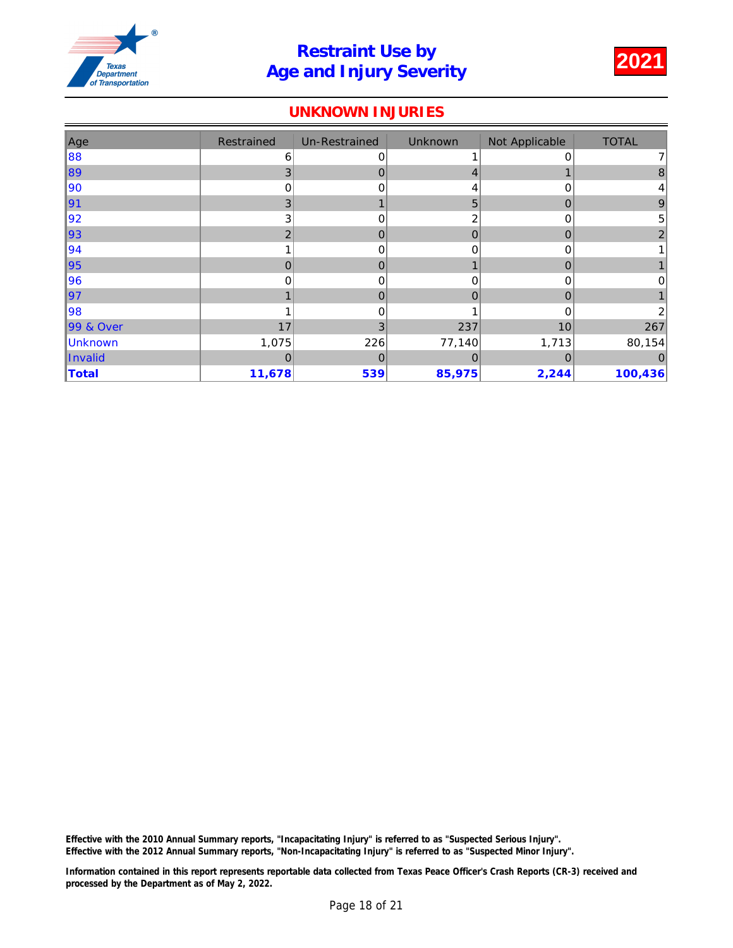

### UNKNOWN INJURIES

| Age            | Restrained    | Un-Restrained | Unknown  | Not Applicable | <b>TOTAL</b>   |
|----------------|---------------|---------------|----------|----------------|----------------|
| 88             | 6             | 0             |          | 0              | $\overline{7}$ |
| 89             | 3             | 0             | 4        |                | 8              |
| 90             | O             | 0             |          | 0              | 4              |
| ∥91            | 3             |               | 5        | $\Omega$       | 9              |
| 92             | 3             | 0             |          | 0              | 5              |
| 93             | $\mathcal{P}$ | $\mathbf{0}$  | $\Omega$ | 0              | $\overline{2}$ |
| 94             |               | 0             | U        | 0              |                |
| 95             | O             | $\Omega$      |          | $\Omega$       |                |
| 96             | $\Omega$      | 0             |          | 0              | 0              |
| ∥97            |               | $\mathbf 0$   | $\Omega$ | $\Omega$       |                |
| 98             |               | 0             |          | 0              |                |
| 99 & Over      | 17            | 3             | 237      | 10             | 267            |
| <b>Unknown</b> | 1,075         | 226           | 77,140   | 1,713          | 80,154         |
| Invalid        | 0             | $\mathbf 0$   | 0        | $\overline{0}$ | 0              |
| <b>Total</b>   | 11,678        | 539           | 85,975   | 2,244          | 100,436        |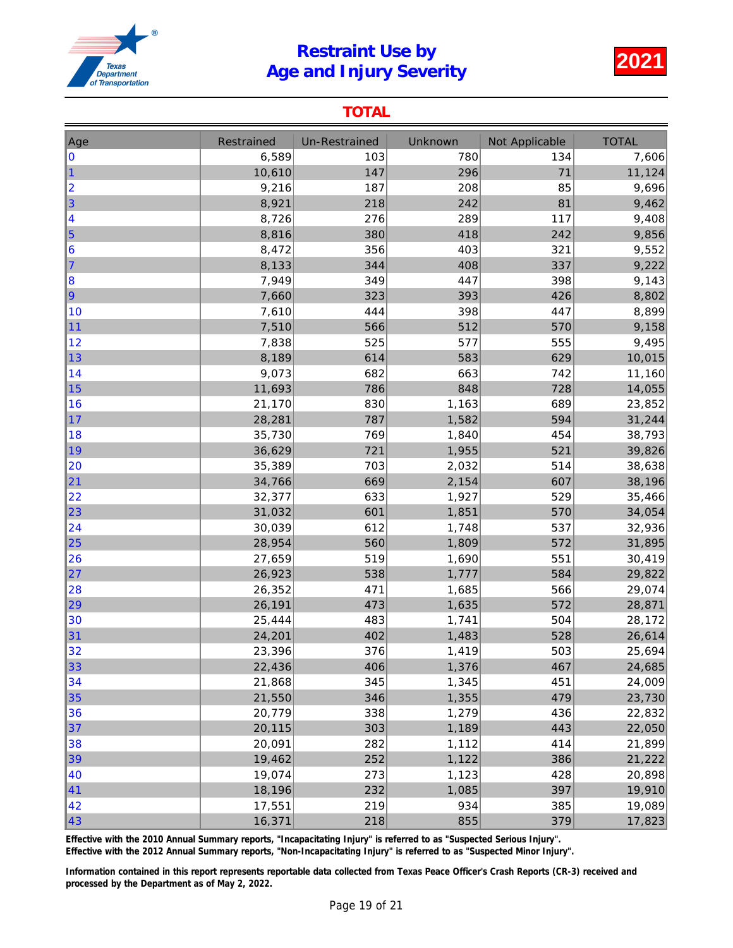

### TOTAL

| Age | Restrained | Un-Restrained | Unknown | Not Applicable | <b>TOTAL</b> |
|-----|------------|---------------|---------|----------------|--------------|
| 10  | 6,589      | 103           | 780     | 134            | 7,606        |
| 1   | 10,610     | 147           | 296     | 71             | 11,124       |
| 2   | 9,216      | 187           | 208     | 85             | 9,696        |
| 3   | 8,921      | 218           | 242     | 81             | 9,462        |
| 4   | 8,726      | 276           | 289     | 117            | 9,408        |
| 5   | 8,816      | 380           | 418     | 242            | 9,856        |
| 16  | 8,472      | 356           | 403     | 321            | 9,552        |
| 17  | 8,133      | 344           | 408     | 337            | 9,222        |
| 8   | 7,949      | 349           | 447     | 398            | 9,143        |
| 9   | 7,660      | 323           | 393     | 426            | 8,802        |
| 10  | 7,610      | 444           | 398     | 447            | 8,899        |
| 11  | 7,510      | 566           | 512     | 570            | 9,158        |
| 12  | 7,838      | 525           | 577     | 555            | 9,495        |
| 13  | 8,189      | 614           | 583     | 629            | 10,015       |
| 14  | 9,073      | 682           | 663     | 742            | 11,160       |
| 15  | 11,693     | 786           | 848     | 728            | 14,055       |
| 16  | 21,170     | 830           | 1,163   | 689            | 23,852       |
| 17  | 28,281     | 787           | 1,582   | 594            | 31,244       |
| 18  | 35,730     | 769           | 1,840   | 454            | 38,793       |
| 19  | 36,629     | 721           | 1,955   | 521            | 39,826       |
| 20  | 35,389     | 703           | 2,032   | 514            | 38,638       |
| 21  | 34,766     | 669           | 2,154   | 607            | 38,196       |
| 22  | 32,377     | 633           | 1,927   | 529            | 35,466       |
| 23  | 31,032     | 601           | 1,851   | 570            | 34,054       |
| 24  | 30,039     | 612           | 1,748   | 537            | 32,936       |
| 25  | 28,954     | 560           | 1,809   | 572            | 31,895       |
| 26  | 27,659     | 519           | 1,690   | 551            | 30,419       |
| 27  | 26,923     | 538           | 1,777   | 584            | 29,822       |
| 28  | 26,352     | 471           | 1,685   | 566            | 29,074       |
| 29  | 26,191     | 473           | 1,635   | 572            | 28,871       |
| 30  | 25,444     | 483           | 1,741   | 504            | 28,172       |
| 31  | 24,201     | 402           | 1,483   | 528            | 26,614       |
| 32  | 23,396     | 376           | 1,419   | 503            | 25,694       |
| 33  | 22,436     | 406           | 1,376   | 467            | 24,685       |
| 34  | 21,868     | 345           | 1,345   | 451            | 24,009       |
| 35  | 21,550     | 346           | 1,355   | 479            | 23,730       |
| 36  | 20,779     | 338           | 1,279   | 436            | 22,832       |
| 37  | 20,115     | 303           | 1,189   | 443            | 22,050       |
| 38  | 20,091     | 282           | 1,112   | 414            | 21,899       |
| 39  | 19,462     | 252           | 1,122   | 386            | 21,222       |
| 40  | 19,074     | 273           | 1,123   | 428            | 20,898       |
| 41  | 18,196     | 232           | 1,085   | 397            | 19,910       |
| 42  | 17,551     | 219           | 934     | 385            | 19,089       |
| ∥43 | 16,371     | 218           | 855     | 379            | 17,823       |

Effective with the 2010 Annual Summary reports, "Incapacitating Injury" is referred to as "Suspected Serious Injury".

Effective with the 2012 Annual Summary reports, "Non-Incapacitating Injury" is referred to as "Suspected Minor Injury".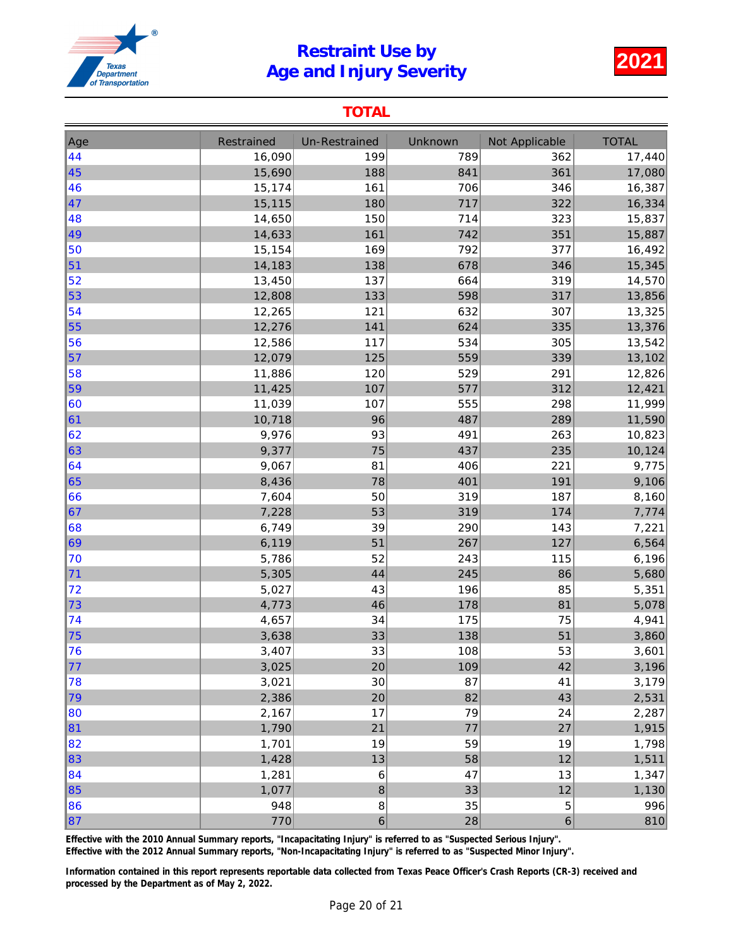

### TOTAL

| Age | Restrained | <b>Un-Restrained</b> | Unknown | Not Applicable      | <b>TOTAL</b> |
|-----|------------|----------------------|---------|---------------------|--------------|
| 44  | 16,090     | 199                  | 789     | 362                 | 17,440       |
| 45  | 15,690     | 188                  | 841     | 361                 | 17,080       |
| 46  | 15,174     | 161                  | 706     | 346                 | 16,387       |
| 47  | 15,115     | 180                  | 717     | 322                 | 16,334       |
| 48  | 14,650     | 150                  | 714     | 323                 | 15,837       |
| 49  | 14,633     | 161                  | 742     | 351                 | 15,887       |
| 50  | 15,154     | 169                  | 792     | 377                 | 16,492       |
| 51  | 14,183     | 138                  | 678     | 346                 | 15,345       |
| 52  | 13,450     | 137                  | 664     | 319                 | 14,570       |
| 53  | 12,808     | 133                  | 598     | 317                 | 13,856       |
| 54  | 12,265     | 121                  | 632     | 307                 | 13,325       |
| 55  | 12,276     | 141                  | 624     | 335                 | 13,376       |
| 56  | 12,586     | 117                  | 534     | 305                 | 13,542       |
| 57  | 12,079     | 125                  | 559     | 339                 | 13,102       |
| 58  | 11,886     | 120                  | 529     | 291                 | 12,826       |
| 59  | 11,425     | 107                  | 577     | 312                 | 12,421       |
| 60  | 11,039     | 107                  | 555     | 298                 | 11,999       |
| 61  | 10,718     | 96                   | 487     | 289                 | 11,590       |
| 62  | 9,976      | 93                   | 491     | 263                 | 10,823       |
| 63  | 9,377      | 75                   | 437     | 235                 | 10,124       |
| 64  | 9,067      | 81                   | 406     | 221                 | 9,775        |
| 65  | 8,436      | 78                   | 401     | 191                 | 9,106        |
| 66  | 7,604      | 50                   | 319     | 187                 | 8,160        |
| 67  | 7,228      | 53                   | 319     | 174                 | 7,774        |
| 68  | 6,749      | 39                   | 290     | 143                 | 7,221        |
| 69  | 6,119      | 51                   | 267     | 127                 | 6,564        |
| 70  | 5,786      | 52                   | 243     | 115                 | 6,196        |
| 71  | 5,305      | 44                   | 245     | 86                  | 5,680        |
| 72  | 5,027      | 43                   | 196     | 85                  | 5,351        |
| 73  | 4,773      | 46                   | 178     | 81                  | 5,078        |
| 74  | 4,657      | 34                   | 175     | 75                  | 4,941        |
| 75  | 3,638      | 33                   | 138     | 51                  | 3,860        |
| 76  | 3,407      | 33                   | 108     | 53                  | 3,601        |
| 77  | 3,025      | 20                   | 109     | 42                  | 3,196        |
| 78  | 3,021      | 30                   | 87      | 41                  | 3,179        |
| 79  | 2,386      | 20                   | 82      | 43                  | 2,531        |
| 80  | 2,167      | 17                   | 79      | 24                  | 2,287        |
| 81  | 1,790      | 21                   | 77      | 27                  | 1,915        |
| 82  | 1,701      | 19                   | 59      | 19                  | 1,798        |
| 83  | 1,428      | 13                   | 58      | 12                  | 1,511        |
| 84  | 1,281      | 6                    | 47      | 13                  | 1,347        |
| 85  | 1,077      | 8                    | 33      | 12                  | 1,130        |
| 86  | 948        | 8<br>6               | 35      | 5<br>$\overline{6}$ | 996          |
| ∥87 | 770        |                      | 28      |                     | 810          |

Effective with the 2010 Annual Summary reports, "Incapacitating Injury" is referred to as "Suspected Serious Injury".

Effective with the 2012 Annual Summary reports, "Non-Incapacitating Injury" is referred to as "Suspected Minor Injury".